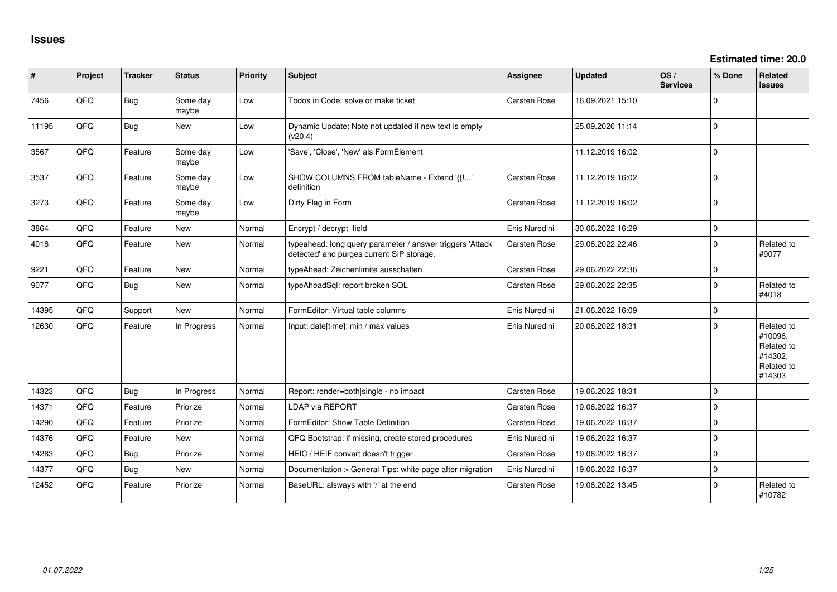| #     | Project | <b>Tracker</b> | <b>Status</b>     | Priority | <b>Subject</b>                                                                                         | Assignee            | <b>Updated</b>   | OS/<br><b>Services</b> | % Done      | Related<br><b>issues</b>                                               |
|-------|---------|----------------|-------------------|----------|--------------------------------------------------------------------------------------------------------|---------------------|------------------|------------------------|-------------|------------------------------------------------------------------------|
| 7456  | QFQ     | <b>Bug</b>     | Some day<br>maybe | Low      | Todos in Code: solve or make ticket                                                                    | Carsten Rose        | 16.09.2021 15:10 |                        | $\Omega$    |                                                                        |
| 11195 | QFQ     | <b>Bug</b>     | <b>New</b>        | Low      | Dynamic Update: Note not updated if new text is empty<br>(v20.4)                                       |                     | 25.09.2020 11:14 |                        | $\Omega$    |                                                                        |
| 3567  | QFQ     | Feature        | Some day<br>maybe | Low      | 'Save', 'Close', 'New' als FormElement                                                                 |                     | 11.12.2019 16:02 |                        | $\Omega$    |                                                                        |
| 3537  | QFQ     | Feature        | Some day<br>maybe | Low      | SHOW COLUMNS FROM tableName - Extend '{{!'<br>definition                                               | Carsten Rose        | 11.12.2019 16:02 |                        | $\Omega$    |                                                                        |
| 3273  | QFQ     | Feature        | Some day<br>maybe | Low      | Dirty Flag in Form                                                                                     | Carsten Rose        | 11.12.2019 16:02 |                        | $\Omega$    |                                                                        |
| 3864  | QFQ     | Feature        | <b>New</b>        | Normal   | Encrypt / decrypt field                                                                                | Enis Nuredini       | 30.06.2022 16:29 |                        | $\mathbf 0$ |                                                                        |
| 4018  | QFQ     | Feature        | <b>New</b>        | Normal   | typeahead: long query parameter / answer triggers 'Attack<br>detected' and purges current SIP storage. | <b>Carsten Rose</b> | 29.06.2022 22:46 |                        | $\Omega$    | Related to<br>#9077                                                    |
| 9221  | QFQ     | Feature        | <b>New</b>        | Normal   | typeAhead: Zeichenlimite ausschalten                                                                   | Carsten Rose        | 29.06.2022 22:36 |                        | $\Omega$    |                                                                        |
| 9077  | QFQ     | Bug            | <b>New</b>        | Normal   | typeAheadSql: report broken SQL                                                                        | Carsten Rose        | 29.06.2022 22:35 |                        | $\Omega$    | Related to<br>#4018                                                    |
| 14395 | QFQ     | Support        | New               | Normal   | FormEditor: Virtual table columns                                                                      | Enis Nuredini       | 21.06.2022 16:09 |                        | $\mathbf 0$ |                                                                        |
| 12630 | QFQ     | Feature        | In Progress       | Normal   | Input: date[time]: min / max values                                                                    | Enis Nuredini       | 20.06.2022 18:31 |                        | $\Omega$    | Related to<br>#10096.<br>Related to<br>#14302,<br>Related to<br>#14303 |
| 14323 | QFQ     | <b>Bug</b>     | In Progress       | Normal   | Report: render=both single - no impact                                                                 | Carsten Rose        | 19.06.2022 18:31 |                        | $\Omega$    |                                                                        |
| 14371 | QFQ     | Feature        | Priorize          | Normal   | LDAP via REPORT                                                                                        | Carsten Rose        | 19.06.2022 16:37 |                        | $\Omega$    |                                                                        |
| 14290 | QFQ     | Feature        | Priorize          | Normal   | FormEditor: Show Table Definition                                                                      | Carsten Rose        | 19.06.2022 16:37 |                        | $\Omega$    |                                                                        |
| 14376 | QFQ     | Feature        | <b>New</b>        | Normal   | QFQ Bootstrap: if missing, create stored procedures                                                    | Enis Nuredini       | 19.06.2022 16:37 |                        | $\Omega$    |                                                                        |
| 14283 | QFQ     | Bug            | Priorize          | Normal   | HEIC / HEIF convert doesn't trigger                                                                    | Carsten Rose        | 19.06.2022 16:37 |                        | $\mathbf 0$ |                                                                        |
| 14377 | QFQ     | Bug            | New               | Normal   | Documentation > General Tips: white page after migration                                               | Enis Nuredini       | 19.06.2022 16:37 |                        | $\Omega$    |                                                                        |
| 12452 | QFQ     | Feature        | Priorize          | Normal   | BaseURL: alsways with '/' at the end                                                                   | Carsten Rose        | 19.06.2022 13:45 |                        | $\Omega$    | Related to<br>#10782                                                   |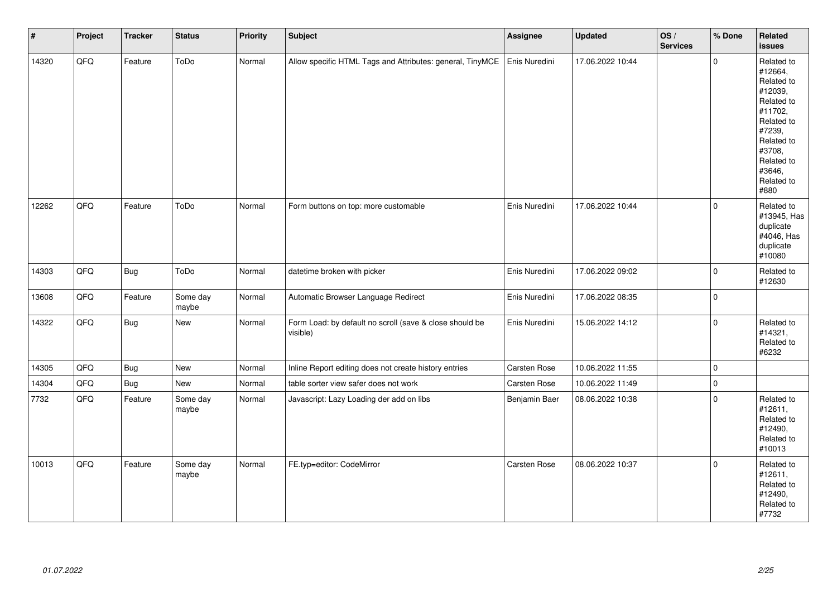| $\vert$ # | Project | <b>Tracker</b> | <b>Status</b>     | <b>Priority</b> | Subject                                                             | Assignee      | <b>Updated</b>   | OS/<br><b>Services</b> | % Done      | Related<br><b>issues</b>                                                                                                                                              |
|-----------|---------|----------------|-------------------|-----------------|---------------------------------------------------------------------|---------------|------------------|------------------------|-------------|-----------------------------------------------------------------------------------------------------------------------------------------------------------------------|
| 14320     | QFQ     | Feature        | ToDo              | Normal          | Allow specific HTML Tags and Attributes: general, TinyMCE           | Enis Nuredini | 17.06.2022 10:44 |                        | $\Omega$    | Related to<br>#12664,<br>Related to<br>#12039,<br>Related to<br>#11702,<br>Related to<br>#7239,<br>Related to<br>#3708,<br>Related to<br>#3646,<br>Related to<br>#880 |
| 12262     | QFQ     | Feature        | ToDo              | Normal          | Form buttons on top: more customable                                | Enis Nuredini | 17.06.2022 10:44 |                        | $\Omega$    | Related to<br>#13945, Has<br>duplicate<br>#4046, Has<br>duplicate<br>#10080                                                                                           |
| 14303     | QFQ     | <b>Bug</b>     | ToDo              | Normal          | datetime broken with picker                                         | Enis Nuredini | 17.06.2022 09:02 |                        | $\mathbf 0$ | Related to<br>#12630                                                                                                                                                  |
| 13608     | QFQ     | Feature        | Some day<br>maybe | Normal          | Automatic Browser Language Redirect                                 | Enis Nuredini | 17.06.2022 08:35 |                        | $\pmb{0}$   |                                                                                                                                                                       |
| 14322     | QFQ     | <b>Bug</b>     | New               | Normal          | Form Load: by default no scroll (save & close should be<br>visible) | Enis Nuredini | 15.06.2022 14:12 |                        | $\mathbf 0$ | Related to<br>#14321,<br>Related to<br>#6232                                                                                                                          |
| 14305     | QFQ     | <b>Bug</b>     | <b>New</b>        | Normal          | Inline Report editing does not create history entries               | Carsten Rose  | 10.06.2022 11:55 |                        | $\mathbf 0$ |                                                                                                                                                                       |
| 14304     | QFQ     | <b>Bug</b>     | New               | Normal          | table sorter view safer does not work                               | Carsten Rose  | 10.06.2022 11:49 |                        | $\pmb{0}$   |                                                                                                                                                                       |
| 7732      | QFQ     | Feature        | Some day<br>maybe | Normal          | Javascript: Lazy Loading der add on libs                            | Benjamin Baer | 08.06.2022 10:38 |                        | $\mathbf 0$ | Related to<br>#12611,<br>Related to<br>#12490,<br>Related to<br>#10013                                                                                                |
| 10013     | QFQ     | Feature        | Some day<br>maybe | Normal          | FE.typ=editor: CodeMirror                                           | Carsten Rose  | 08.06.2022 10:37 |                        | $\mathbf 0$ | Related to<br>#12611,<br>Related to<br>#12490,<br>Related to<br>#7732                                                                                                 |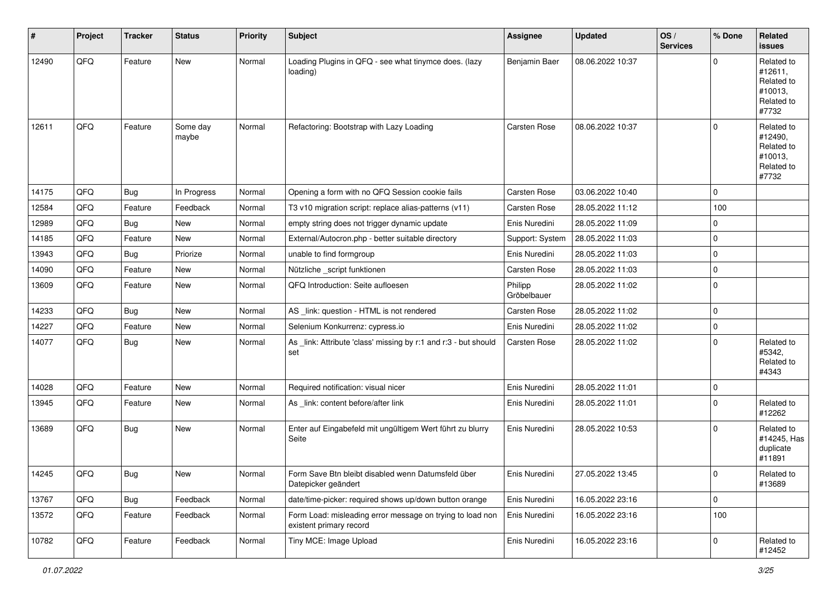| #     | Project | <b>Tracker</b> | <b>Status</b>     | <b>Priority</b> | <b>Subject</b>                                                                       | <b>Assignee</b>        | <b>Updated</b>   | OS/<br><b>Services</b> | % Done      | Related<br><b>issues</b>                                              |
|-------|---------|----------------|-------------------|-----------------|--------------------------------------------------------------------------------------|------------------------|------------------|------------------------|-------------|-----------------------------------------------------------------------|
| 12490 | QFQ     | Feature        | <b>New</b>        | Normal          | Loading Plugins in QFQ - see what tinymce does. (lazy<br>loading)                    | Benjamin Baer          | 08.06.2022 10:37 |                        | $\mathbf 0$ | Related to<br>#12611,<br>Related to<br>#10013,<br>Related to<br>#7732 |
| 12611 | QFQ     | Feature        | Some day<br>maybe | Normal          | Refactoring: Bootstrap with Lazy Loading                                             | Carsten Rose           | 08.06.2022 10:37 |                        | $\mathbf 0$ | Related to<br>#12490,<br>Related to<br>#10013,<br>Related to<br>#7732 |
| 14175 | QFQ     | <b>Bug</b>     | In Progress       | Normal          | Opening a form with no QFQ Session cookie fails                                      | Carsten Rose           | 03.06.2022 10:40 |                        | $\Omega$    |                                                                       |
| 12584 | QFQ     | Feature        | Feedback          | Normal          | T3 v10 migration script: replace alias-patterns (v11)                                | Carsten Rose           | 28.05.2022 11:12 |                        | 100         |                                                                       |
| 12989 | QFQ     | Bug            | <b>New</b>        | Normal          | empty string does not trigger dynamic update                                         | Enis Nuredini          | 28.05.2022 11:09 |                        | $\mathbf 0$ |                                                                       |
| 14185 | QFQ     | Feature        | New               | Normal          | External/Autocron.php - better suitable directory                                    | Support: System        | 28.05.2022 11:03 |                        | $\mathbf 0$ |                                                                       |
| 13943 | QFQ     | <b>Bug</b>     | Priorize          | Normal          | unable to find formgroup                                                             | Enis Nuredini          | 28.05.2022 11:03 |                        | $\mathbf 0$ |                                                                       |
| 14090 | QFQ     | Feature        | New               | Normal          | Nützliche _script funktionen                                                         | Carsten Rose           | 28.05.2022 11:03 |                        | $\mathbf 0$ |                                                                       |
| 13609 | QFQ     | Feature        | New               | Normal          | QFQ Introduction: Seite aufloesen                                                    | Philipp<br>Gröbelbauer | 28.05.2022 11:02 |                        | $\mathbf 0$ |                                                                       |
| 14233 | QFQ     | Bug            | New               | Normal          | AS _link: question - HTML is not rendered                                            | Carsten Rose           | 28.05.2022 11:02 |                        | $\mathbf 0$ |                                                                       |
| 14227 | QFQ     | Feature        | New               | Normal          | Selenium Konkurrenz: cypress.io                                                      | Enis Nuredini          | 28.05.2022 11:02 |                        | $\mathbf 0$ |                                                                       |
| 14077 | QFQ     | Bug            | New               | Normal          | As _link: Attribute 'class' missing by r:1 and r:3 - but should<br>set               | Carsten Rose           | 28.05.2022 11:02 |                        | $\mathbf 0$ | Related to<br>#5342,<br>Related to<br>#4343                           |
| 14028 | QFQ     | Feature        | New               | Normal          | Required notification: visual nicer                                                  | Enis Nuredini          | 28.05.2022 11:01 |                        | $\mathbf 0$ |                                                                       |
| 13945 | QFQ     | Feature        | New               | Normal          | As _link: content before/after link                                                  | Enis Nuredini          | 28.05.2022 11:01 |                        | $\mathbf 0$ | Related to<br>#12262                                                  |
| 13689 | QFQ     | <b>Bug</b>     | New               | Normal          | Enter auf Eingabefeld mit ungültigem Wert führt zu blurry<br>Seite                   | Enis Nuredini          | 28.05.2022 10:53 |                        | $\mathbf 0$ | Related to<br>#14245, Has<br>duplicate<br>#11891                      |
| 14245 | QFQ     | <b>Bug</b>     | New               | Normal          | Form Save Btn bleibt disabled wenn Datumsfeld über<br>Datepicker geändert            | Enis Nuredini          | 27.05.2022 13:45 |                        | $\pmb{0}$   | Related to<br>#13689                                                  |
| 13767 | QFQ     | <b>Bug</b>     | Feedback          | Normal          | date/time-picker: required shows up/down button orange                               | Enis Nuredini          | 16.05.2022 23:16 |                        | $\mathbf 0$ |                                                                       |
| 13572 | QFQ     | Feature        | Feedback          | Normal          | Form Load: misleading error message on trying to load non<br>existent primary record | Enis Nuredini          | 16.05.2022 23:16 |                        | 100         |                                                                       |
| 10782 | QFQ     | Feature        | Feedback          | Normal          | Tiny MCE: Image Upload                                                               | Enis Nuredini          | 16.05.2022 23:16 |                        | $\mathbf 0$ | Related to<br>#12452                                                  |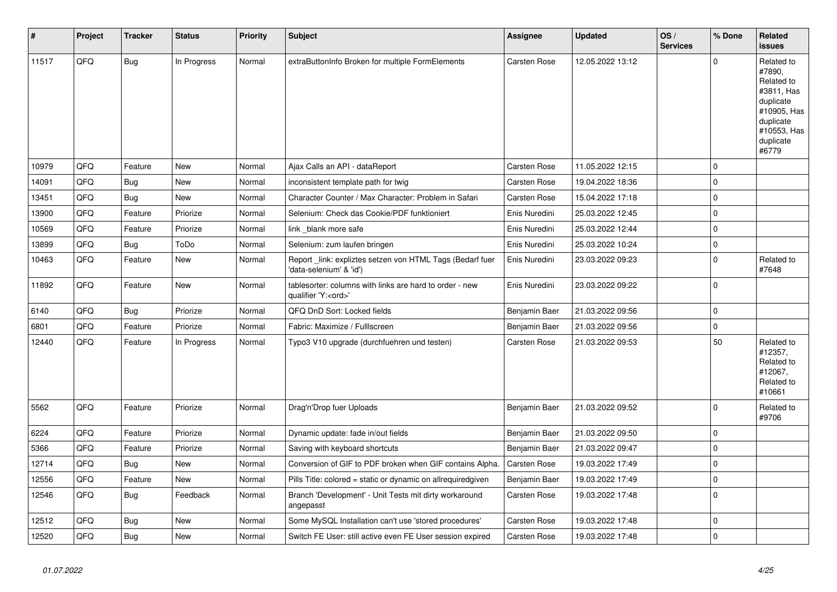| #     | Project | <b>Tracker</b> | <b>Status</b> | <b>Priority</b> | <b>Subject</b>                                                                        | Assignee            | <b>Updated</b>   | OS/<br><b>Services</b> | % Done      | Related<br>issues                                                                                                              |
|-------|---------|----------------|---------------|-----------------|---------------------------------------------------------------------------------------|---------------------|------------------|------------------------|-------------|--------------------------------------------------------------------------------------------------------------------------------|
| 11517 | QFQ     | <b>Bug</b>     | In Progress   | Normal          | extraButtonInfo Broken for multiple FormElements                                      | Carsten Rose        | 12.05.2022 13:12 |                        | $\Omega$    | Related to<br>#7890,<br>Related to<br>#3811, Has<br>duplicate<br>#10905, Has<br>duplicate<br>#10553, Has<br>duplicate<br>#6779 |
| 10979 | QFQ     | Feature        | <b>New</b>    | Normal          | Ajax Calls an API - dataReport                                                        | <b>Carsten Rose</b> | 11.05.2022 12:15 |                        | $\Omega$    |                                                                                                                                |
| 14091 | QFQ     | <b>Bug</b>     | <b>New</b>    | Normal          | inconsistent template path for twig                                                   | Carsten Rose        | 19.04.2022 18:36 |                        | $\mathbf 0$ |                                                                                                                                |
| 13451 | QFQ     | <b>Bug</b>     | New           | Normal          | Character Counter / Max Character: Problem in Safari                                  | Carsten Rose        | 15.04.2022 17:18 |                        | $\Omega$    |                                                                                                                                |
| 13900 | QFQ     | Feature        | Priorize      | Normal          | Selenium: Check das Cookie/PDF funktioniert                                           | Enis Nuredini       | 25.03.2022 12:45 |                        | $\Omega$    |                                                                                                                                |
| 10569 | QFQ     | Feature        | Priorize      | Normal          | link blank more safe                                                                  | Enis Nuredini       | 25.03.2022 12:44 |                        | 0           |                                                                                                                                |
| 13899 | QFQ     | <b>Bug</b>     | ToDo          | Normal          | Selenium: zum laufen bringen                                                          | Enis Nuredini       | 25.03.2022 10:24 |                        | $\mathbf 0$ |                                                                                                                                |
| 10463 | QFQ     | Feature        | New           | Normal          | Report link: expliztes setzen von HTML Tags (Bedarf fuer<br>'data-selenium' & 'id')   | Enis Nuredini       | 23.03.2022 09:23 |                        | $\mathbf 0$ | Related to<br>#7648                                                                                                            |
| 11892 | QFQ     | Feature        | New           | Normal          | tablesorter: columns with links are hard to order - new<br>qualifier 'Y: <ord>'</ord> | Enis Nuredini       | 23.03.2022 09:22 |                        | $\Omega$    |                                                                                                                                |
| 6140  | QFQ     | <b>Bug</b>     | Priorize      | Normal          | QFQ DnD Sort: Locked fields                                                           | Benjamin Baer       | 21.03.2022 09:56 |                        | $\Omega$    |                                                                                                                                |
| 6801  | QFQ     | Feature        | Priorize      | Normal          | Fabric: Maximize / FullIscreen                                                        | Benjamin Baer       | 21.03.2022 09:56 |                        | $\mathbf 0$ |                                                                                                                                |
| 12440 | QFQ     | Feature        | In Progress   | Normal          | Typo3 V10 upgrade (durchfuehren und testen)                                           | Carsten Rose        | 21.03.2022 09:53 |                        | 50          | Related to<br>#12357,<br>Related to<br>#12067,<br>Related to<br>#10661                                                         |
| 5562  | QFQ     | Feature        | Priorize      | Normal          | Drag'n'Drop fuer Uploads                                                              | Benjamin Baer       | 21.03.2022 09:52 |                        | $\Omega$    | Related to<br>#9706                                                                                                            |
| 6224  | QFQ     | Feature        | Priorize      | Normal          | Dynamic update: fade in/out fields                                                    | Benjamin Baer       | 21.03.2022 09:50 |                        | $\Omega$    |                                                                                                                                |
| 5366  | QFQ     | Feature        | Priorize      | Normal          | Saving with keyboard shortcuts                                                        | Benjamin Baer       | 21.03.2022 09:47 |                        | $\Omega$    |                                                                                                                                |
| 12714 | QFQ     | <b>Bug</b>     | New           | Normal          | Conversion of GIF to PDF broken when GIF contains Alpha.                              | Carsten Rose        | 19.03.2022 17:49 |                        | $\mathbf 0$ |                                                                                                                                |
| 12556 | QFQ     | Feature        | New           | Normal          | Pills Title: colored = static or dynamic on allrequiredgiven                          | Benjamin Baer       | 19.03.2022 17:49 |                        | $\Omega$    |                                                                                                                                |
| 12546 | QFQ     | Bug            | Feedback      | Normal          | Branch 'Development' - Unit Tests mit dirty workaround<br>angepasst                   | Carsten Rose        | 19.03.2022 17:48 |                        | $\Omega$    |                                                                                                                                |
| 12512 | QFQ     | <b>Bug</b>     | <b>New</b>    | Normal          | Some MySQL Installation can't use 'stored procedures'                                 | Carsten Rose        | 19.03.2022 17:48 |                        | $\Omega$    |                                                                                                                                |
| 12520 | QFQ     | Bug            | New           | Normal          | Switch FE User: still active even FE User session expired                             | Carsten Rose        | 19.03.2022 17:48 |                        | $\Omega$    |                                                                                                                                |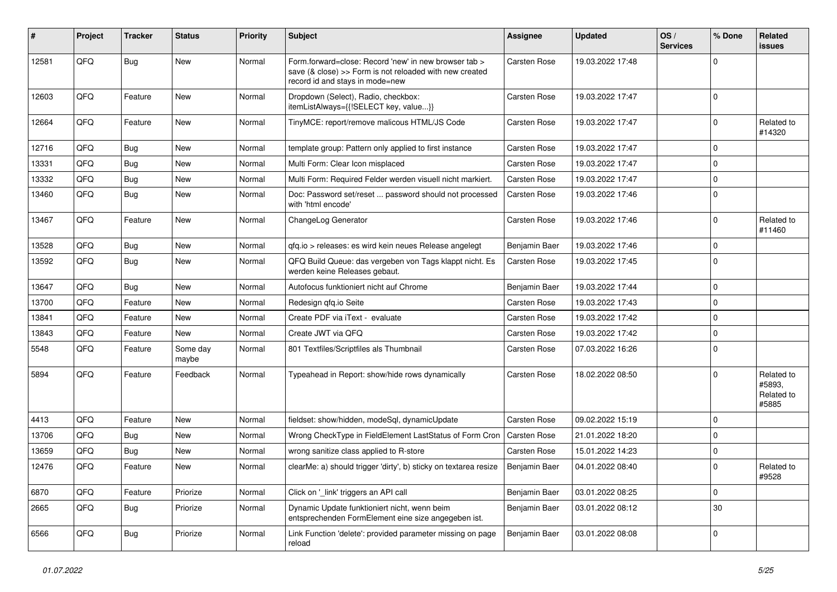| #     | Project | <b>Tracker</b> | <b>Status</b>     | <b>Priority</b> | <b>Subject</b>                                                                                                                                      | Assignee            | <b>Updated</b>   | OS/<br><b>Services</b> | % Done      | Related<br>issues                           |
|-------|---------|----------------|-------------------|-----------------|-----------------------------------------------------------------------------------------------------------------------------------------------------|---------------------|------------------|------------------------|-------------|---------------------------------------------|
| 12581 | QFQ     | <b>Bug</b>     | New               | Normal          | Form.forward=close: Record 'new' in new browser tab ><br>save (& close) >> Form is not reloaded with new created<br>record id and stays in mode=new | Carsten Rose        | 19.03.2022 17:48 |                        | $\Omega$    |                                             |
| 12603 | QFQ     | Feature        | New               | Normal          | Dropdown (Select), Radio, checkbox:<br>itemListAlways={{!SELECT key, value}}                                                                        | Carsten Rose        | 19.03.2022 17:47 |                        | $\mathbf 0$ |                                             |
| 12664 | QFQ     | Feature        | New               | Normal          | TinyMCE: report/remove malicous HTML/JS Code                                                                                                        | Carsten Rose        | 19.03.2022 17:47 |                        | $\Omega$    | Related to<br>#14320                        |
| 12716 | QFQ     | Bug            | New               | Normal          | template group: Pattern only applied to first instance                                                                                              | Carsten Rose        | 19.03.2022 17:47 |                        | $\Omega$    |                                             |
| 13331 | QFQ     | <b>Bug</b>     | New               | Normal          | Multi Form: Clear Icon misplaced                                                                                                                    | <b>Carsten Rose</b> | 19.03.2022 17:47 |                        | $\Omega$    |                                             |
| 13332 | QFQ     | <b>Bug</b>     | New               | Normal          | Multi Form: Required Felder werden visuell nicht markiert.                                                                                          | <b>Carsten Rose</b> | 19.03.2022 17:47 |                        | $\mathbf 0$ |                                             |
| 13460 | QFQ     | Bug            | New               | Normal          | Doc: Password set/reset  password should not processed<br>with 'html encode'                                                                        | Carsten Rose        | 19.03.2022 17:46 |                        | $\mathbf 0$ |                                             |
| 13467 | QFQ     | Feature        | New               | Normal          | ChangeLog Generator                                                                                                                                 | <b>Carsten Rose</b> | 19.03.2022 17:46 |                        | $\Omega$    | Related to<br>#11460                        |
| 13528 | QFQ     | Bug            | New               | Normal          | gfg.io > releases: es wird kein neues Release angelegt                                                                                              | Benjamin Baer       | 19.03.2022 17:46 |                        | 0           |                                             |
| 13592 | QFQ     | Bug            | New               | Normal          | QFQ Build Queue: das vergeben von Tags klappt nicht. Es<br>werden keine Releases gebaut.                                                            | <b>Carsten Rose</b> | 19.03.2022 17:45 |                        | 0           |                                             |
| 13647 | QFQ     | Bug            | New               | Normal          | Autofocus funktioniert nicht auf Chrome                                                                                                             | Benjamin Baer       | 19.03.2022 17:44 |                        | $\mathbf 0$ |                                             |
| 13700 | QFQ     | Feature        | New               | Normal          | Redesign qfq.io Seite                                                                                                                               | Carsten Rose        | 19.03.2022 17:43 |                        | $\Omega$    |                                             |
| 13841 | QFQ     | Feature        | New               | Normal          | Create PDF via iText - evaluate                                                                                                                     | Carsten Rose        | 19.03.2022 17:42 |                        | 0           |                                             |
| 13843 | QFQ     | Feature        | New               | Normal          | Create JWT via QFQ                                                                                                                                  | Carsten Rose        | 19.03.2022 17:42 |                        | $\mathbf 0$ |                                             |
| 5548  | QFQ     | Feature        | Some day<br>maybe | Normal          | 801 Textfiles/Scriptfiles als Thumbnail                                                                                                             | Carsten Rose        | 07.03.2022 16:26 |                        | 0           |                                             |
| 5894  | QFQ     | Feature        | Feedback          | Normal          | Typeahead in Report: show/hide rows dynamically                                                                                                     | <b>Carsten Rose</b> | 18.02.2022 08:50 |                        | $\Omega$    | Related to<br>#5893,<br>Related to<br>#5885 |
| 4413  | QFQ     | Feature        | New               | Normal          | fieldset: show/hidden, modeSql, dynamicUpdate                                                                                                       | Carsten Rose        | 09.02.2022 15:19 |                        | $\mathbf 0$ |                                             |
| 13706 | QFQ     | <b>Bug</b>     | New               | Normal          | Wrong CheckType in FieldElement LastStatus of Form Cron                                                                                             | <b>Carsten Rose</b> | 21.01.2022 18:20 |                        | 0           |                                             |
| 13659 | QFQ     | Bug            | New               | Normal          | wrong sanitize class applied to R-store                                                                                                             | Carsten Rose        | 15.01.2022 14:23 |                        | 0           |                                             |
| 12476 | QFQ     | Feature        | New               | Normal          | clearMe: a) should trigger 'dirty', b) sticky on textarea resize                                                                                    | Benjamin Baer       | 04.01.2022 08:40 |                        | $\Omega$    | Related to<br>#9528                         |
| 6870  | QFQ     | Feature        | Priorize          | Normal          | Click on ' link' triggers an API call                                                                                                               | Benjamin Baer       | 03.01.2022 08:25 |                        | $\mathbf 0$ |                                             |
| 2665  | QFQ     | <b>Bug</b>     | Priorize          | Normal          | Dynamic Update funktioniert nicht, wenn beim<br>entsprechenden FormElement eine size angegeben ist.                                                 | Benjamin Baer       | 03.01.2022 08:12 |                        | 30          |                                             |
| 6566  | QFQ     | <b>Bug</b>     | Priorize          | Normal          | Link Function 'delete': provided parameter missing on page<br>reload                                                                                | Benjamin Baer       | 03.01.2022 08:08 |                        | 0           |                                             |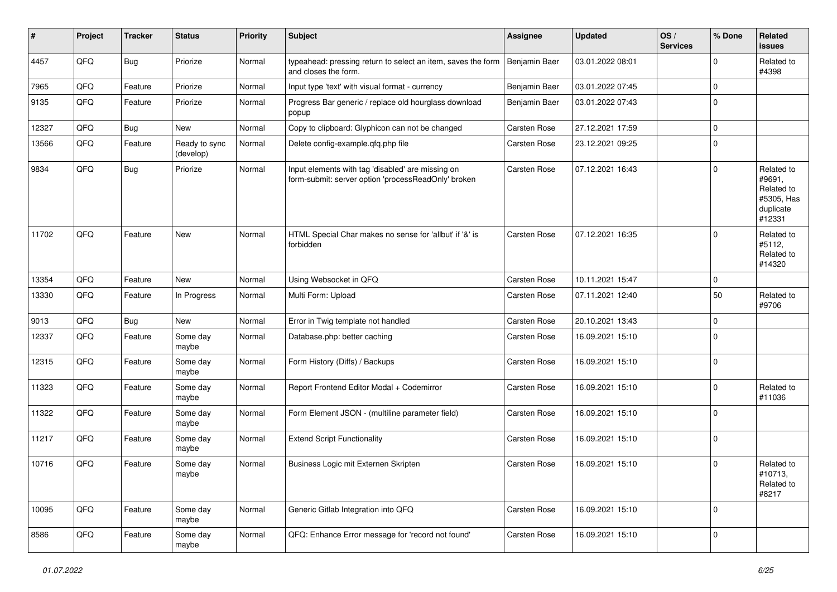| #     | Project | <b>Tracker</b> | <b>Status</b>              | <b>Priority</b> | <b>Subject</b>                                                                                           | <b>Assignee</b> | <b>Updated</b>   | OS/<br><b>Services</b> | % Done      | Related<br>issues                                                       |
|-------|---------|----------------|----------------------------|-----------------|----------------------------------------------------------------------------------------------------------|-----------------|------------------|------------------------|-------------|-------------------------------------------------------------------------|
| 4457  | QFQ     | <b>Bug</b>     | Priorize                   | Normal          | typeahead: pressing return to select an item, saves the form<br>and closes the form.                     | Benjamin Baer   | 03.01.2022 08:01 |                        | $\mathbf 0$ | Related to<br>#4398                                                     |
| 7965  | QFQ     | Feature        | Priorize                   | Normal          | Input type 'text' with visual format - currency                                                          | Benjamin Baer   | 03.01.2022 07:45 |                        | $\mathbf 0$ |                                                                         |
| 9135  | QFQ     | Feature        | Priorize                   | Normal          | Progress Bar generic / replace old hourglass download<br>popup                                           | Benjamin Baer   | 03.01.2022 07:43 |                        | $\mathbf 0$ |                                                                         |
| 12327 | QFQ     | <b>Bug</b>     | New                        | Normal          | Copy to clipboard: Glyphicon can not be changed                                                          | Carsten Rose    | 27.12.2021 17:59 |                        | $\mathbf 0$ |                                                                         |
| 13566 | QFQ     | Feature        | Ready to sync<br>(develop) | Normal          | Delete config-example.qfq.php file                                                                       | Carsten Rose    | 23.12.2021 09:25 |                        | $\mathbf 0$ |                                                                         |
| 9834  | QFQ     | <b>Bug</b>     | Priorize                   | Normal          | Input elements with tag 'disabled' are missing on<br>form-submit: server option 'processReadOnly' broken | Carsten Rose    | 07.12.2021 16:43 |                        | $\mathbf 0$ | Related to<br>#9691,<br>Related to<br>#5305, Has<br>duplicate<br>#12331 |
| 11702 | QFQ     | Feature        | <b>New</b>                 | Normal          | HTML Special Char makes no sense for 'allbut' if '&' is<br>forbidden                                     | Carsten Rose    | 07.12.2021 16:35 |                        | $\mathbf 0$ | Related to<br>#5112,<br>Related to<br>#14320                            |
| 13354 | QFQ     | Feature        | New                        | Normal          | Using Websocket in QFQ                                                                                   | Carsten Rose    | 10.11.2021 15:47 |                        | $\mathbf 0$ |                                                                         |
| 13330 | QFQ     | Feature        | In Progress                | Normal          | Multi Form: Upload                                                                                       | Carsten Rose    | 07.11.2021 12:40 |                        | 50          | Related to<br>#9706                                                     |
| 9013  | QFQ     | <b>Bug</b>     | New                        | Normal          | Error in Twig template not handled                                                                       | Carsten Rose    | 20.10.2021 13:43 |                        | $\mathbf 0$ |                                                                         |
| 12337 | QFQ     | Feature        | Some day<br>maybe          | Normal          | Database.php: better caching                                                                             | Carsten Rose    | 16.09.2021 15:10 |                        | $\mathbf 0$ |                                                                         |
| 12315 | QFQ     | Feature        | Some day<br>maybe          | Normal          | Form History (Diffs) / Backups                                                                           | Carsten Rose    | 16.09.2021 15:10 |                        | $\mathbf 0$ |                                                                         |
| 11323 | QFQ     | Feature        | Some day<br>maybe          | Normal          | Report Frontend Editor Modal + Codemirror                                                                | Carsten Rose    | 16.09.2021 15:10 |                        | $\mathbf 0$ | Related to<br>#11036                                                    |
| 11322 | QFQ     | Feature        | Some day<br>maybe          | Normal          | Form Element JSON - (multiline parameter field)                                                          | Carsten Rose    | 16.09.2021 15:10 |                        | $\mathbf 0$ |                                                                         |
| 11217 | QFQ     | Feature        | Some day<br>maybe          | Normal          | <b>Extend Script Functionality</b>                                                                       | Carsten Rose    | 16.09.2021 15:10 |                        | $\mathbf 0$ |                                                                         |
| 10716 | QFQ     | Feature        | Some day<br>maybe          | Normal          | Business Logic mit Externen Skripten                                                                     | Carsten Rose    | 16.09.2021 15:10 |                        | $\mathbf 0$ | Related to<br>#10713,<br>Related to<br>#8217                            |
| 10095 | QFQ     | Feature        | Some day<br>maybe          | Normal          | Generic Gitlab Integration into QFQ                                                                      | Carsten Rose    | 16.09.2021 15:10 |                        | $\mathbf 0$ |                                                                         |
| 8586  | QFQ     | Feature        | Some day<br>maybe          | Normal          | QFQ: Enhance Error message for 'record not found'                                                        | Carsten Rose    | 16.09.2021 15:10 |                        | $\Omega$    |                                                                         |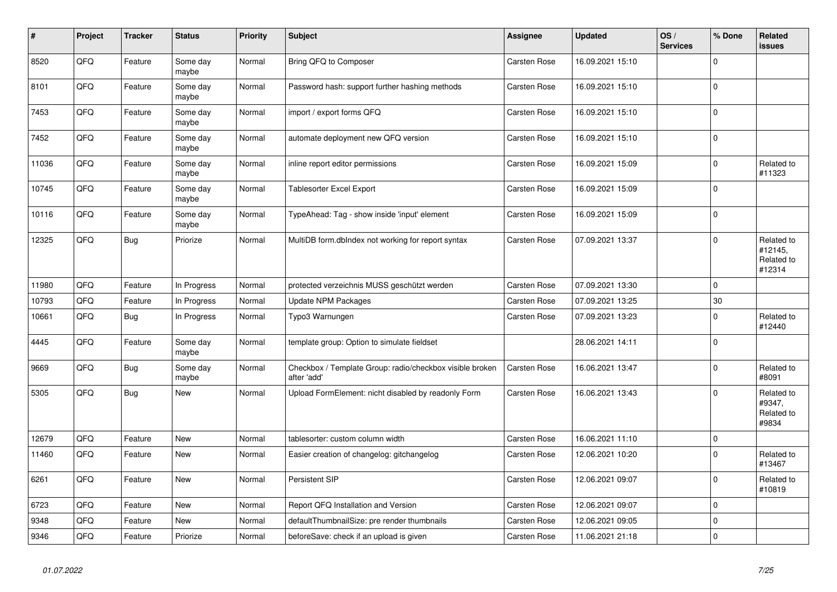| #     | Project | <b>Tracker</b> | <b>Status</b>     | <b>Priority</b> | <b>Subject</b>                                                          | Assignee            | <b>Updated</b>   | OS/<br><b>Services</b> | % Done       | <b>Related</b><br><b>issues</b>               |
|-------|---------|----------------|-------------------|-----------------|-------------------------------------------------------------------------|---------------------|------------------|------------------------|--------------|-----------------------------------------------|
| 8520  | QFQ     | Feature        | Some day<br>maybe | Normal          | Bring QFQ to Composer                                                   | Carsten Rose        | 16.09.2021 15:10 |                        | $\mathbf{0}$ |                                               |
| 8101  | QFQ     | Feature        | Some day<br>maybe | Normal          | Password hash: support further hashing methods                          | Carsten Rose        | 16.09.2021 15:10 |                        | $\Omega$     |                                               |
| 7453  | QFQ     | Feature        | Some day<br>maybe | Normal          | import / export forms QFQ                                               | Carsten Rose        | 16.09.2021 15:10 |                        | $\mathbf{0}$ |                                               |
| 7452  | QFQ     | Feature        | Some day<br>maybe | Normal          | automate deployment new QFQ version                                     | Carsten Rose        | 16.09.2021 15:10 |                        | $\Omega$     |                                               |
| 11036 | QFQ     | Feature        | Some day<br>maybe | Normal          | inline report editor permissions                                        | Carsten Rose        | 16.09.2021 15:09 |                        | $\mathbf 0$  | Related to<br>#11323                          |
| 10745 | QFQ     | Feature        | Some day<br>maybe | Normal          | <b>Tablesorter Excel Export</b>                                         | Carsten Rose        | 16.09.2021 15:09 |                        | 0 I          |                                               |
| 10116 | QFQ     | Feature        | Some day<br>maybe | Normal          | TypeAhead: Tag - show inside 'input' element                            | Carsten Rose        | 16.09.2021 15:09 |                        | $\Omega$     |                                               |
| 12325 | QFQ     | <b>Bug</b>     | Priorize          | Normal          | MultiDB form.dbIndex not working for report syntax                      | Carsten Rose        | 07.09.2021 13:37 |                        | $\mathbf{0}$ | Related to<br>#12145,<br>Related to<br>#12314 |
| 11980 | QFQ     | Feature        | In Progress       | Normal          | protected verzeichnis MUSS geschützt werden                             | Carsten Rose        | 07.09.2021 13:30 |                        | $\mathbf 0$  |                                               |
| 10793 | QFQ     | Feature        | In Progress       | Normal          | <b>Update NPM Packages</b>                                              | Carsten Rose        | 07.09.2021 13:25 |                        | 30           |                                               |
| 10661 | QFQ     | <b>Bug</b>     | In Progress       | Normal          | Typo3 Warnungen                                                         | Carsten Rose        | 07.09.2021 13:23 |                        | $\Omega$     | Related to<br>#12440                          |
| 4445  | QFQ     | Feature        | Some day<br>maybe | Normal          | template group: Option to simulate fieldset                             |                     | 28.06.2021 14:11 |                        | $\Omega$     |                                               |
| 9669  | QFQ     | Bug            | Some day<br>maybe | Normal          | Checkbox / Template Group: radio/checkbox visible broken<br>after 'add' | Carsten Rose        | 16.06.2021 13:47 |                        | $\Omega$     | Related to<br>#8091                           |
| 5305  | QFQ     | <b>Bug</b>     | <b>New</b>        | Normal          | Upload FormElement: nicht disabled by readonly Form                     | Carsten Rose        | 16.06.2021 13:43 |                        | $\Omega$     | Related to<br>#9347,<br>Related to<br>#9834   |
| 12679 | QFQ     | Feature        | <b>New</b>        | Normal          | tablesorter: custom column width                                        | <b>Carsten Rose</b> | 16.06.2021 11:10 |                        | $\mathbf 0$  |                                               |
| 11460 | QFQ     | Feature        | <b>New</b>        | Normal          | Easier creation of changelog: gitchangelog                              | Carsten Rose        | 12.06.2021 10:20 |                        | $\Omega$     | Related to<br>#13467                          |
| 6261  | QFQ     | Feature        | <b>New</b>        | Normal          | Persistent SIP                                                          | Carsten Rose        | 12.06.2021 09:07 |                        | $\Omega$     | Related to<br>#10819                          |
| 6723  | QFQ     | Feature        | <b>New</b>        | Normal          | Report QFQ Installation and Version                                     | Carsten Rose        | 12.06.2021 09:07 |                        | $\mathbf 0$  |                                               |
| 9348  | QFQ     | Feature        | <b>New</b>        | Normal          | defaultThumbnailSize: pre render thumbnails                             | Carsten Rose        | 12.06.2021 09:05 |                        | $\Omega$     |                                               |
| 9346  | QFQ     | Feature        | Priorize          | Normal          | beforeSave: check if an upload is given                                 | Carsten Rose        | 11.06.2021 21:18 |                        | l O          |                                               |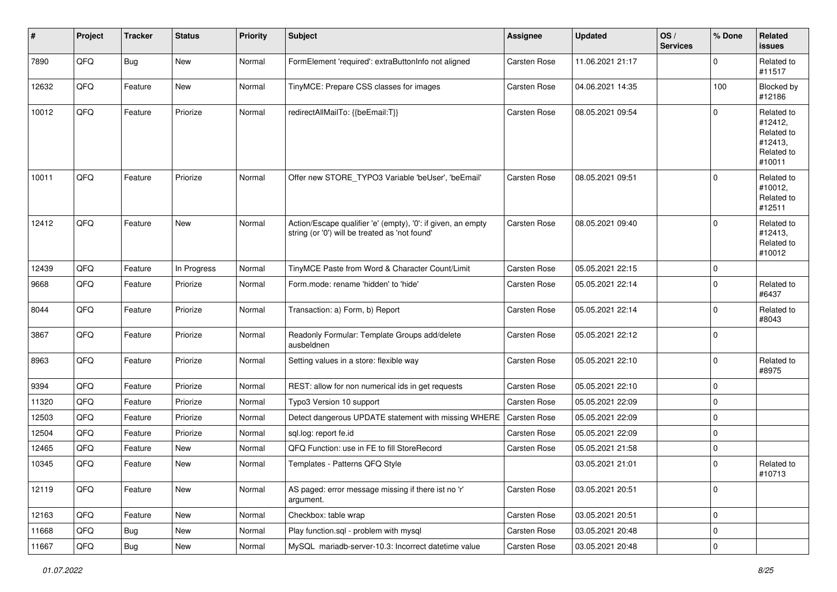| #     | Project | <b>Tracker</b> | <b>Status</b> | <b>Priority</b> | Subject                                                                                                        | <b>Assignee</b> | <b>Updated</b>   | OS/<br><b>Services</b> | % Done              | Related<br><b>issues</b>                                               |
|-------|---------|----------------|---------------|-----------------|----------------------------------------------------------------------------------------------------------------|-----------------|------------------|------------------------|---------------------|------------------------------------------------------------------------|
| 7890  | QFQ     | <b>Bug</b>     | New           | Normal          | FormElement 'required': extraButtonInfo not aligned                                                            | Carsten Rose    | 11.06.2021 21:17 |                        | $\mathbf 0$         | Related to<br>#11517                                                   |
| 12632 | QFQ     | Feature        | New           | Normal          | TinyMCE: Prepare CSS classes for images                                                                        | Carsten Rose    | 04.06.2021 14:35 |                        | 100                 | Blocked by<br>#12186                                                   |
| 10012 | QFQ     | Feature        | Priorize      | Normal          | redirectAllMailTo: {{beEmail:T}}                                                                               | Carsten Rose    | 08.05.2021 09:54 |                        | $\mathbf 0$         | Related to<br>#12412,<br>Related to<br>#12413,<br>Related to<br>#10011 |
| 10011 | QFQ     | Feature        | Priorize      | Normal          | Offer new STORE_TYPO3 Variable 'beUser', 'beEmail'                                                             | Carsten Rose    | 08.05.2021 09:51 |                        | $\mathbf 0$         | Related to<br>#10012,<br>Related to<br>#12511                          |
| 12412 | QFQ     | Feature        | New           | Normal          | Action/Escape qualifier 'e' (empty), '0': if given, an empty<br>string (or '0') will be treated as 'not found' | Carsten Rose    | 08.05.2021 09:40 |                        | $\mathbf 0$         | Related to<br>#12413,<br>Related to<br>#10012                          |
| 12439 | QFQ     | Feature        | In Progress   | Normal          | TinyMCE Paste from Word & Character Count/Limit                                                                | Carsten Rose    | 05.05.2021 22:15 |                        | $\mathbf 0$         |                                                                        |
| 9668  | QFQ     | Feature        | Priorize      | Normal          | Form.mode: rename 'hidden' to 'hide'                                                                           | Carsten Rose    | 05.05.2021 22:14 |                        | $\mathbf 0$         | Related to<br>#6437                                                    |
| 8044  | QFQ     | Feature        | Priorize      | Normal          | Transaction: a) Form, b) Report                                                                                | Carsten Rose    | 05.05.2021 22:14 |                        | $\mathbf 0$         | Related to<br>#8043                                                    |
| 3867  | QFQ     | Feature        | Priorize      | Normal          | Readonly Formular: Template Groups add/delete<br>ausbeldnen                                                    | Carsten Rose    | 05.05.2021 22:12 |                        | $\mathbf 0$         |                                                                        |
| 8963  | QFQ     | Feature        | Priorize      | Normal          | Setting values in a store: flexible way                                                                        | Carsten Rose    | 05.05.2021 22:10 |                        | $\mathbf 0$         | Related to<br>#8975                                                    |
| 9394  | QFQ     | Feature        | Priorize      | Normal          | REST: allow for non numerical ids in get requests                                                              | Carsten Rose    | 05.05.2021 22:10 |                        | $\mathbf 0$         |                                                                        |
| 11320 | QFQ     | Feature        | Priorize      | Normal          | Typo3 Version 10 support                                                                                       | Carsten Rose    | 05.05.2021 22:09 |                        | $\mathbf 0$         |                                                                        |
| 12503 | QFQ     | Feature        | Priorize      | Normal          | Detect dangerous UPDATE statement with missing WHERE                                                           | Carsten Rose    | 05.05.2021 22:09 |                        | $\mathbf 0$         |                                                                        |
| 12504 | QFQ     | Feature        | Priorize      | Normal          | sql.log: report fe.id                                                                                          | Carsten Rose    | 05.05.2021 22:09 |                        | $\mathbf 0$         |                                                                        |
| 12465 | QFQ     | Feature        | New           | Normal          | QFQ Function: use in FE to fill StoreRecord                                                                    | Carsten Rose    | 05.05.2021 21:58 |                        | $\mathbf 0$         |                                                                        |
| 10345 | QFQ     | Feature        | New           | Normal          | Templates - Patterns QFQ Style                                                                                 |                 | 03.05.2021 21:01 |                        | $\mathbf 0$         | Related to<br>#10713                                                   |
| 12119 | QFQ     | Feature        | New           | Normal          | AS paged: error message missing if there ist no 'r'<br>argument.                                               | Carsten Rose    | 03.05.2021 20:51 |                        | $\mathbf 0$         |                                                                        |
| 12163 | QFQ     | Feature        | New           | Normal          | Checkbox: table wrap                                                                                           | Carsten Rose    | 03.05.2021 20:51 |                        | $\mathbf 0$         |                                                                        |
| 11668 | QFQ     | <b>Bug</b>     | New           | Normal          | Play function.sql - problem with mysql                                                                         | Carsten Rose    | 03.05.2021 20:48 |                        | $\pmb{0}$           |                                                                        |
| 11667 | QFQ     | <b>Bug</b>     | New           | Normal          | MySQL mariadb-server-10.3: Incorrect datetime value                                                            | Carsten Rose    | 03.05.2021 20:48 |                        | $\mathsf{O}\xspace$ |                                                                        |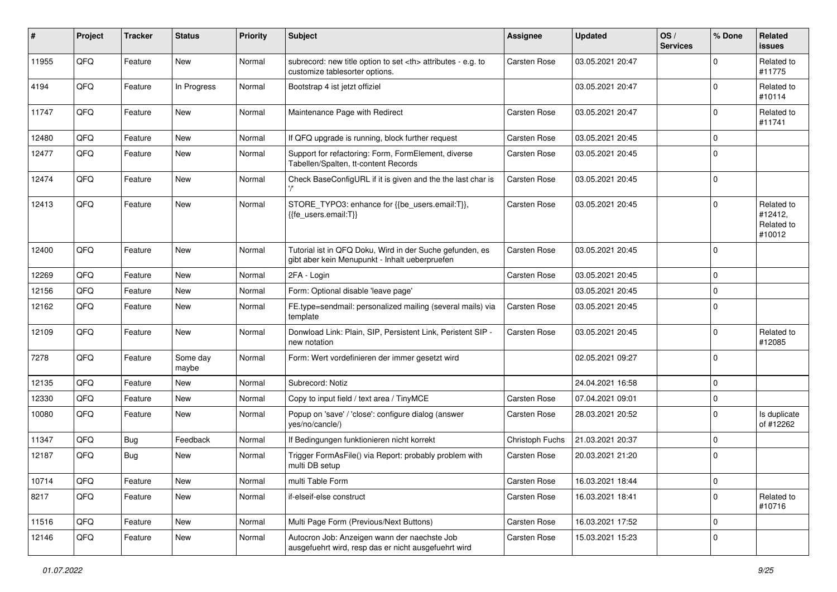| ∦     | Project | <b>Tracker</b> | <b>Status</b>     | <b>Priority</b> | Subject                                                                                                    | <b>Assignee</b>                                        | <b>Updated</b>   | OS/<br><b>Services</b> | % Done      | Related<br>issues                             |                      |
|-------|---------|----------------|-------------------|-----------------|------------------------------------------------------------------------------------------------------------|--------------------------------------------------------|------------------|------------------------|-------------|-----------------------------------------------|----------------------|
| 11955 | QFQ     | Feature        | <b>New</b>        | Normal          | subrecord: new title option to set <th> attributes - e.g. to<br/>customize tablesorter options.</th>       | attributes - e.g. to<br>customize tablesorter options. | Carsten Rose     | 03.05.2021 20:47       |             | $\Omega$                                      | Related to<br>#11775 |
| 4194  | QFQ     | Feature        | In Progress       | Normal          | Bootstrap 4 ist jetzt offiziel                                                                             |                                                        | 03.05.2021 20:47 |                        | $\mathbf 0$ | Related to<br>#10114                          |                      |
| 11747 | QFQ     | Feature        | New               | Normal          | Maintenance Page with Redirect                                                                             | Carsten Rose                                           | 03.05.2021 20:47 |                        | $\Omega$    | Related to<br>#11741                          |                      |
| 12480 | QFQ     | Feature        | New               | Normal          | If QFQ upgrade is running, block further request                                                           | Carsten Rose                                           | 03.05.2021 20:45 |                        | $\mathbf 0$ |                                               |                      |
| 12477 | QFQ     | Feature        | <b>New</b>        | Normal          | Support for refactoring: Form, FormElement, diverse<br>Tabellen/Spalten, tt-content Records                | Carsten Rose                                           | 03.05.2021 20:45 |                        | $\Omega$    |                                               |                      |
| 12474 | QFQ     | Feature        | New               | Normal          | Check BaseConfigURL if it is given and the the last char is                                                | Carsten Rose                                           | 03.05.2021 20:45 |                        | $\Omega$    |                                               |                      |
| 12413 | QFQ     | Feature        | New               | Normal          | STORE_TYPO3: enhance for {{be_users.email:T}},<br>{{fe users.email:T}}                                     | Carsten Rose                                           | 03.05.2021 20:45 |                        | $\Omega$    | Related to<br>#12412,<br>Related to<br>#10012 |                      |
| 12400 | QFQ     | Feature        | New               | Normal          | Tutorial ist in QFQ Doku, Wird in der Suche gefunden, es<br>gibt aber kein Menupunkt - Inhalt ueberpruefen | Carsten Rose                                           | 03.05.2021 20:45 |                        | $\Omega$    |                                               |                      |
| 12269 | QFQ     | Feature        | <b>New</b>        | Normal          | 2FA - Login                                                                                                | Carsten Rose                                           | 03.05.2021 20:45 |                        | $\mathbf 0$ |                                               |                      |
| 12156 | QFQ     | Feature        | New               | Normal          | Form: Optional disable 'leave page'                                                                        |                                                        | 03.05.2021 20:45 |                        | $\Omega$    |                                               |                      |
| 12162 | QFQ     | Feature        | <b>New</b>        | Normal          | FE.type=sendmail: personalized mailing (several mails) via<br>template                                     | Carsten Rose                                           | 03.05.2021 20:45 |                        | $\Omega$    |                                               |                      |
| 12109 | QFQ     | Feature        | <b>New</b>        | Normal          | Donwload Link: Plain, SIP, Persistent Link, Peristent SIP -<br>new notation                                | Carsten Rose                                           | 03.05.2021 20:45 |                        | $\Omega$    | Related to<br>#12085                          |                      |
| 7278  | QFQ     | Feature        | Some day<br>maybe | Normal          | Form: Wert vordefinieren der immer gesetzt wird                                                            |                                                        | 02.05.2021 09:27 |                        | $\mathbf 0$ |                                               |                      |
| 12135 | QFQ     | Feature        | <b>New</b>        | Normal          | Subrecord: Notiz                                                                                           |                                                        | 24.04.2021 16:58 |                        | $\mathbf 0$ |                                               |                      |
| 12330 | QFQ     | Feature        | New               | Normal          | Copy to input field / text area / TinyMCE                                                                  | Carsten Rose                                           | 07.04.2021 09:01 |                        | $\mathbf 0$ |                                               |                      |
| 10080 | QFQ     | Feature        | <b>New</b>        | Normal          | Popup on 'save' / 'close': configure dialog (answer<br>yes/no/cancle/)                                     | Carsten Rose                                           | 28.03.2021 20:52 |                        | $\Omega$    | Is duplicate<br>of #12262                     |                      |
| 11347 | QFQ     | <b>Bug</b>     | Feedback          | Normal          | If Bedingungen funktionieren nicht korrekt                                                                 | Christoph Fuchs                                        | 21.03.2021 20:37 |                        | $\mathbf 0$ |                                               |                      |
| 12187 | QFQ     | <b>Bug</b>     | <b>New</b>        | Normal          | Trigger FormAsFile() via Report: probably problem with<br>multi DB setup                                   | Carsten Rose                                           | 20.03.2021 21:20 |                        | $\mathbf 0$ |                                               |                      |
| 10714 | QFQ     | Feature        | New               | Normal          | multi Table Form                                                                                           | Carsten Rose                                           | 16.03.2021 18:44 |                        | 0           |                                               |                      |
| 8217  | QFQ     | Feature        | New               | Normal          | if-elseif-else construct                                                                                   | Carsten Rose                                           | 16.03.2021 18:41 |                        | $\Omega$    | Related to<br>#10716                          |                      |
| 11516 | QFQ     | Feature        | New               | Normal          | Multi Page Form (Previous/Next Buttons)                                                                    | Carsten Rose                                           | 16.03.2021 17:52 |                        | $\mathbf 0$ |                                               |                      |
| 12146 | QFQ     | Feature        | New               | Normal          | Autocron Job: Anzeigen wann der naechste Job<br>ausgefuehrt wird, resp das er nicht ausgefuehrt wird       | Carsten Rose                                           | 15.03.2021 15:23 |                        | 0           |                                               |                      |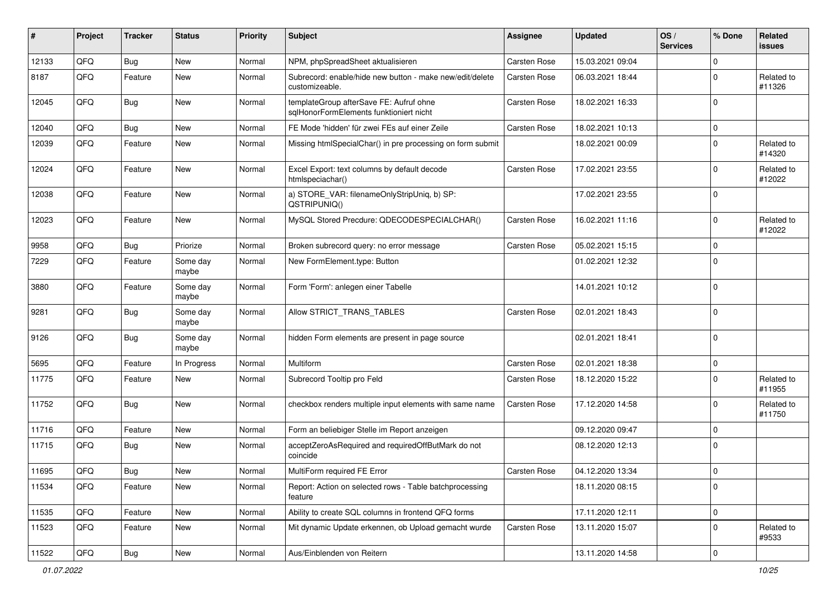| #     | Project | <b>Tracker</b> | <b>Status</b>     | <b>Priority</b> | <b>Subject</b>                                                                     | Assignee     | <b>Updated</b>   | OS/<br><b>Services</b> | % Done      | Related<br>issues    |
|-------|---------|----------------|-------------------|-----------------|------------------------------------------------------------------------------------|--------------|------------------|------------------------|-------------|----------------------|
| 12133 | QFQ     | <b>Bug</b>     | <b>New</b>        | Normal          | NPM, phpSpreadSheet aktualisieren                                                  | Carsten Rose | 15.03.2021 09:04 |                        | $\Omega$    |                      |
| 8187  | QFQ     | Feature        | New               | Normal          | Subrecord: enable/hide new button - make new/edit/delete<br>customizeable.         | Carsten Rose | 06.03.2021 18:44 |                        | $\Omega$    | Related to<br>#11326 |
| 12045 | QFQ     | <b>Bug</b>     | New               | Normal          | templateGroup afterSave FE: Aufruf ohne<br>sglHonorFormElements funktioniert nicht | Carsten Rose | 18.02.2021 16:33 |                        | $\mathbf 0$ |                      |
| 12040 | QFQ     | <b>Bug</b>     | New               | Normal          | FE Mode 'hidden' für zwei FEs auf einer Zeile                                      | Carsten Rose | 18.02.2021 10:13 |                        | $\mathbf 0$ |                      |
| 12039 | QFQ     | Feature        | New               | Normal          | Missing htmlSpecialChar() in pre processing on form submit                         |              | 18.02.2021 00:09 |                        | $\Omega$    | Related to<br>#14320 |
| 12024 | QFQ     | Feature        | New               | Normal          | Excel Export: text columns by default decode<br>htmlspeciachar()                   | Carsten Rose | 17.02.2021 23:55 |                        | $\mathbf 0$ | Related to<br>#12022 |
| 12038 | QFQ     | Feature        | New               | Normal          | a) STORE_VAR: filenameOnlyStripUniq, b) SP:<br>QSTRIPUNIQ()                        |              | 17.02.2021 23:55 |                        | $\Omega$    |                      |
| 12023 | QFQ     | Feature        | New               | Normal          | MySQL Stored Precdure: QDECODESPECIALCHAR()                                        | Carsten Rose | 16.02.2021 11:16 |                        | $\Omega$    | Related to<br>#12022 |
| 9958  | QFQ     | <b>Bug</b>     | Priorize          | Normal          | Broken subrecord query: no error message                                           | Carsten Rose | 05.02.2021 15:15 |                        | $\mathbf 0$ |                      |
| 7229  | QFQ     | Feature        | Some day<br>maybe | Normal          | New FormElement.type: Button                                                       |              | 01.02.2021 12:32 |                        | $\Omega$    |                      |
| 3880  | QFQ     | Feature        | Some day<br>maybe | Normal          | Form 'Form': anlegen einer Tabelle                                                 |              | 14.01.2021 10:12 |                        | $\mathbf 0$ |                      |
| 9281  | QFQ     | <b>Bug</b>     | Some day<br>maybe | Normal          | Allow STRICT_TRANS_TABLES                                                          | Carsten Rose | 02.01.2021 18:43 |                        | $\mathbf 0$ |                      |
| 9126  | QFQ     | <b>Bug</b>     | Some day<br>maybe | Normal          | hidden Form elements are present in page source                                    |              | 02.01.2021 18:41 |                        | $\Omega$    |                      |
| 5695  | QFQ     | Feature        | In Progress       | Normal          | <b>Multiform</b>                                                                   | Carsten Rose | 02.01.2021 18:38 |                        | $\mathbf 0$ |                      |
| 11775 | QFQ     | Feature        | New               | Normal          | Subrecord Tooltip pro Feld                                                         | Carsten Rose | 18.12.2020 15:22 |                        | $\Omega$    | Related to<br>#11955 |
| 11752 | QFQ     | Bug            | <b>New</b>        | Normal          | checkbox renders multiple input elements with same name                            | Carsten Rose | 17.12.2020 14:58 |                        | $\Omega$    | Related to<br>#11750 |
| 11716 | QFQ     | Feature        | New               | Normal          | Form an beliebiger Stelle im Report anzeigen                                       |              | 09.12.2020 09:47 |                        | $\mathbf 0$ |                      |
| 11715 | QFQ     | <b>Bug</b>     | New               | Normal          | acceptZeroAsRequired and requiredOffButMark do not<br>coincide                     |              | 08.12.2020 12:13 |                        | $\Omega$    |                      |
| 11695 | QFQ     | Bug            | New               | Normal          | MultiForm required FE Error                                                        | Carsten Rose | 04.12.2020 13:34 |                        | $\mathbf 0$ |                      |
| 11534 | QFQ     | Feature        | New               | Normal          | Report: Action on selected rows - Table batchprocessing<br>feature                 |              | 18.11.2020 08:15 |                        | $\mathbf 0$ |                      |
| 11535 | QFQ     | Feature        | New               | Normal          | Ability to create SQL columns in frontend QFQ forms                                |              | 17.11.2020 12:11 |                        | $\mathbf 0$ |                      |
| 11523 | QFQ     | Feature        | New               | Normal          | Mit dynamic Update erkennen, ob Upload gemacht wurde                               | Carsten Rose | 13.11.2020 15:07 |                        | $\mathbf 0$ | Related to<br>#9533  |
| 11522 | QFQ     | Bug            | New               | Normal          | Aus/Einblenden von Reitern                                                         |              | 13.11.2020 14:58 |                        | $\pmb{0}$   |                      |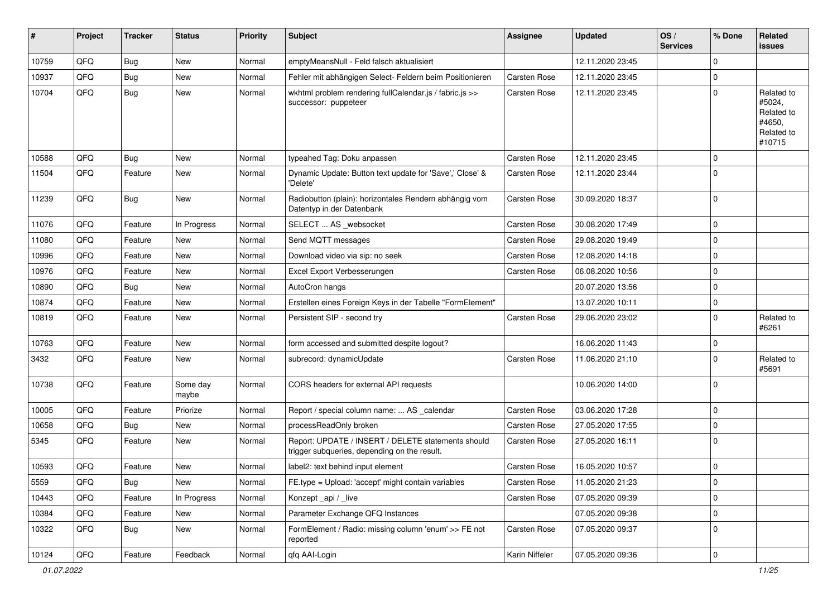| #     | Project | <b>Tracker</b> | <b>Status</b>     | <b>Priority</b> | <b>Subject</b>                                                                                     | <b>Assignee</b>     | <b>Updated</b>   | OS/<br><b>Services</b> | % Done      | Related<br>issues                                                    |
|-------|---------|----------------|-------------------|-----------------|----------------------------------------------------------------------------------------------------|---------------------|------------------|------------------------|-------------|----------------------------------------------------------------------|
| 10759 | QFQ     | Bug            | New               | Normal          | emptyMeansNull - Feld falsch aktualisiert                                                          |                     | 12.11.2020 23:45 |                        | $\Omega$    |                                                                      |
| 10937 | QFQ     | Bug            | New               | Normal          | Fehler mit abhängigen Select- Feldern beim Positionieren                                           | Carsten Rose        | 12.11.2020 23:45 |                        | 0           |                                                                      |
| 10704 | QFQ     | Bug            | New               | Normal          | wkhtml problem rendering fullCalendar.js / fabric.js >><br>successor: puppeteer                    | Carsten Rose        | 12.11.2020 23:45 |                        | 0           | Related to<br>#5024,<br>Related to<br>#4650,<br>Related to<br>#10715 |
| 10588 | QFQ     | Bug            | New               | Normal          | typeahed Tag: Doku anpassen                                                                        | <b>Carsten Rose</b> | 12.11.2020 23:45 |                        | $\mathbf 0$ |                                                                      |
| 11504 | QFQ     | Feature        | New               | Normal          | Dynamic Update: Button text update for 'Save',' Close' &<br>'Delete'                               | Carsten Rose        | 12.11.2020 23:44 |                        | $\Omega$    |                                                                      |
| 11239 | QFQ     | Bug            | New               | Normal          | Radiobutton (plain): horizontales Rendern abhängig vom<br>Datentyp in der Datenbank                | Carsten Rose        | 30.09.2020 18:37 |                        | 0           |                                                                      |
| 11076 | QFQ     | Feature        | In Progress       | Normal          | SELECT  AS _websocket                                                                              | Carsten Rose        | 30.08.2020 17:49 |                        | $\mathbf 0$ |                                                                      |
| 11080 | QFQ     | Feature        | New               | Normal          | Send MQTT messages                                                                                 | Carsten Rose        | 29.08.2020 19:49 |                        | 0           |                                                                      |
| 10996 | QFQ     | Feature        | New               | Normal          | Download video via sip: no seek                                                                    | Carsten Rose        | 12.08.2020 14:18 |                        | $\mathbf 0$ |                                                                      |
| 10976 | QFQ     | Feature        | New               | Normal          | Excel Export Verbesserungen                                                                        | Carsten Rose        | 06.08.2020 10:56 |                        | $\Omega$    |                                                                      |
| 10890 | QFQ     | <b>Bug</b>     | New               | Normal          | AutoCron hangs                                                                                     |                     | 20.07.2020 13:56 |                        | $\mathbf 0$ |                                                                      |
| 10874 | QFQ     | Feature        | New               | Normal          | Erstellen eines Foreign Keys in der Tabelle "FormElement"                                          |                     | 13.07.2020 10:11 |                        | 0           |                                                                      |
| 10819 | QFQ     | Feature        | New               | Normal          | Persistent SIP - second try                                                                        | Carsten Rose        | 29.06.2020 23:02 |                        | 0           | Related to<br>#6261                                                  |
| 10763 | QFQ     | Feature        | New               | Normal          | form accessed and submitted despite logout?                                                        |                     | 16.06.2020 11:43 |                        | $\mathbf 0$ |                                                                      |
| 3432  | QFQ     | Feature        | New               | Normal          | subrecord: dynamicUpdate                                                                           | Carsten Rose        | 11.06.2020 21:10 |                        | $\Omega$    | Related to<br>#5691                                                  |
| 10738 | QFQ     | Feature        | Some day<br>maybe | Normal          | CORS headers for external API requests                                                             |                     | 10.06.2020 14:00 |                        | 0           |                                                                      |
| 10005 | QFQ     | Feature        | Priorize          | Normal          | Report / special column name:  AS _calendar                                                        | Carsten Rose        | 03.06.2020 17:28 |                        | 0           |                                                                      |
| 10658 | QFQ     | Bug            | New               | Normal          | processReadOnly broken                                                                             | Carsten Rose        | 27.05.2020 17:55 |                        | $\mathbf 0$ |                                                                      |
| 5345  | QFQ     | Feature        | New               | Normal          | Report: UPDATE / INSERT / DELETE statements should<br>trigger subqueries, depending on the result. | Carsten Rose        | 27.05.2020 16:11 |                        | 0           |                                                                      |
| 10593 | QFQ     | Feature        | New               | Normal          | label2: text behind input element                                                                  | Carsten Rose        | 16.05.2020 10:57 |                        | $\mathbf 0$ |                                                                      |
| 5559  | QFQ     | <b>Bug</b>     | New               | Normal          | FE.type = Upload: 'accept' might contain variables                                                 | Carsten Rose        | 11.05.2020 21:23 |                        | 0           |                                                                      |
| 10443 | QFQ     | Feature        | In Progress       | Normal          | Konzept_api / _live                                                                                | Carsten Rose        | 07.05.2020 09:39 |                        | 0           |                                                                      |
| 10384 | QFQ     | Feature        | New               | Normal          | Parameter Exchange QFQ Instances                                                                   |                     | 07.05.2020 09:38 |                        | $\mathbf 0$ |                                                                      |
| 10322 | QFQ     | <b>Bug</b>     | New               | Normal          | FormElement / Radio: missing column 'enum' >> FE not<br>reported                                   | Carsten Rose        | 07.05.2020 09:37 |                        | $\mathbf 0$ |                                                                      |
| 10124 | QFQ     | Feature        | Feedback          | Normal          | qfq AAI-Login                                                                                      | Karin Niffeler      | 07.05.2020 09:36 |                        | 0           |                                                                      |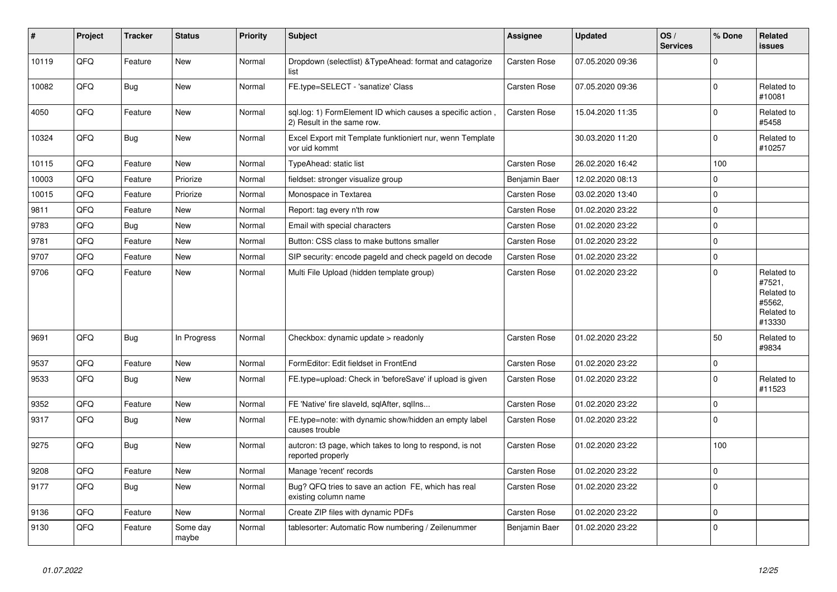| #     | Project | <b>Tracker</b> | <b>Status</b>     | <b>Priority</b> | <b>Subject</b>                                                                           | Assignee      | <b>Updated</b>   | OS/<br><b>Services</b> | % Done      | Related<br>issues                                                    |
|-------|---------|----------------|-------------------|-----------------|------------------------------------------------------------------------------------------|---------------|------------------|------------------------|-------------|----------------------------------------------------------------------|
| 10119 | QFQ     | Feature        | <b>New</b>        | Normal          | Dropdown (selectlist) & Type Ahead: format and catagorize<br>list                        | Carsten Rose  | 07.05.2020 09:36 |                        | $\Omega$    |                                                                      |
| 10082 | QFQ     | Bug            | <b>New</b>        | Normal          | FE.type=SELECT - 'sanatize' Class                                                        | Carsten Rose  | 07.05.2020 09:36 |                        | 0           | Related to<br>#10081                                                 |
| 4050  | QFQ     | Feature        | <b>New</b>        | Normal          | sql.log: 1) FormElement ID which causes a specific action,<br>2) Result in the same row. | Carsten Rose  | 15.04.2020 11:35 |                        | $\Omega$    | Related to<br>#5458                                                  |
| 10324 | QFQ     | Bug            | <b>New</b>        | Normal          | Excel Export mit Template funktioniert nur, wenn Template<br>vor uid kommt               |               | 30.03.2020 11:20 |                        | $\Omega$    | Related to<br>#10257                                                 |
| 10115 | QFQ     | Feature        | <b>New</b>        | Normal          | TypeAhead: static list                                                                   | Carsten Rose  | 26.02.2020 16:42 |                        | 100         |                                                                      |
| 10003 | QFQ     | Feature        | Priorize          | Normal          | fieldset: stronger visualize group                                                       | Benjamin Baer | 12.02.2020 08:13 |                        | $\Omega$    |                                                                      |
| 10015 | QFQ     | Feature        | Priorize          | Normal          | Monospace in Textarea                                                                    | Carsten Rose  | 03.02.2020 13:40 |                        | $\Omega$    |                                                                      |
| 9811  | QFQ     | Feature        | <b>New</b>        | Normal          | Report: tag every n'th row                                                               | Carsten Rose  | 01.02.2020 23:22 |                        | $\Omega$    |                                                                      |
| 9783  | QFQ     | Bug            | <b>New</b>        | Normal          | Email with special characters                                                            | Carsten Rose  | 01.02.2020 23:22 |                        | $\Omega$    |                                                                      |
| 9781  | QFQ     | Feature        | <b>New</b>        | Normal          | Button: CSS class to make buttons smaller                                                | Carsten Rose  | 01.02.2020 23:22 |                        | $\Omega$    |                                                                      |
| 9707  | QFQ     | Feature        | <b>New</b>        | Normal          | SIP security: encode pageld and check pageld on decode                                   | Carsten Rose  | 01.02.2020 23:22 |                        | $\Omega$    |                                                                      |
| 9706  | QFQ     | Feature        | <b>New</b>        | Normal          | Multi File Upload (hidden template group)                                                | Carsten Rose  | 01.02.2020 23:22 |                        | $\Omega$    | Related to<br>#7521,<br>Related to<br>#5562,<br>Related to<br>#13330 |
| 9691  | QFQ     | <b>Bug</b>     | In Progress       | Normal          | Checkbox: dynamic update > readonly                                                      | Carsten Rose  | 01.02.2020 23:22 |                        | 50          | Related to<br>#9834                                                  |
| 9537  | QFQ     | Feature        | <b>New</b>        | Normal          | FormEditor: Edit fieldset in FrontEnd                                                    | Carsten Rose  | 01.02.2020 23:22 |                        | $\Omega$    |                                                                      |
| 9533  | QFQ     | Bug            | <b>New</b>        | Normal          | FE.type=upload: Check in 'beforeSave' if upload is given                                 | Carsten Rose  | 01.02.2020 23:22 |                        | $\Omega$    | Related to<br>#11523                                                 |
| 9352  | QFQ     | Feature        | <b>New</b>        | Normal          | FE 'Native' fire slaveld, sqlAfter, sqlIns                                               | Carsten Rose  | 01.02.2020 23:22 |                        | $\Omega$    |                                                                      |
| 9317  | QFQ     | Bug            | <b>New</b>        | Normal          | FE.type=note: with dynamic show/hidden an empty label<br>causes trouble                  | Carsten Rose  | 01.02.2020 23:22 |                        | $\Omega$    |                                                                      |
| 9275  | QFQ     | Bug            | <b>New</b>        | Normal          | autcron: t3 page, which takes to long to respond, is not<br>reported properly            | Carsten Rose  | 01.02.2020 23:22 |                        | 100         |                                                                      |
| 9208  | QFQ     | Feature        | <b>New</b>        | Normal          | Manage 'recent' records                                                                  | Carsten Rose  | 01.02.2020 23:22 |                        | $\Omega$    |                                                                      |
| 9177  | QFQ     | Bug            | New               | Normal          | Bug? QFQ tries to save an action FE, which has real<br>existing column name              | Carsten Rose  | 01.02.2020 23:22 |                        | $\Omega$    |                                                                      |
| 9136  | QFQ     | Feature        | <b>New</b>        | Normal          | Create ZIP files with dynamic PDFs                                                       | Carsten Rose  | 01.02.2020 23:22 |                        | $\mathbf 0$ |                                                                      |
| 9130  | QFQ     | Feature        | Some day<br>maybe | Normal          | tablesorter: Automatic Row numbering / Zeilenummer                                       | Benjamin Baer | 01.02.2020 23:22 |                        | $\Omega$    |                                                                      |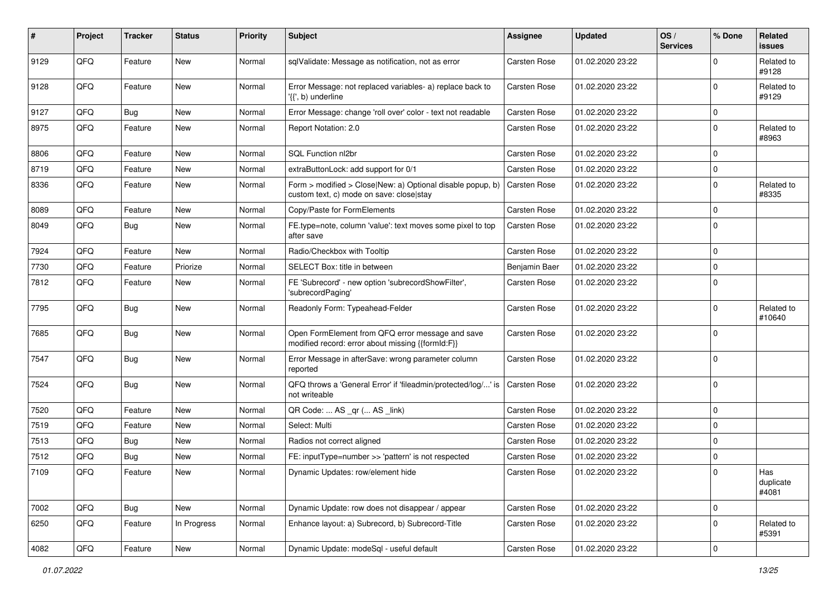| ∦    | Project | <b>Tracker</b> | <b>Status</b> | <b>Priority</b> | <b>Subject</b>                                                                                         | Assignee            | <b>Updated</b>   | OS/<br><b>Services</b> | % Done              | Related<br>issues         |
|------|---------|----------------|---------------|-----------------|--------------------------------------------------------------------------------------------------------|---------------------|------------------|------------------------|---------------------|---------------------------|
| 9129 | QFQ     | Feature        | New           | Normal          | sqlValidate: Message as notification, not as error                                                     | Carsten Rose        | 01.02.2020 23:22 |                        | $\Omega$            | Related to<br>#9128       |
| 9128 | QFQ     | Feature        | <b>New</b>    | Normal          | Error Message: not replaced variables- a) replace back to<br>$\langle \{ \}$ , b) underline            | Carsten Rose        | 01.02.2020 23:22 |                        | $\Omega$            | Related to<br>#9129       |
| 9127 | QFQ     | <b>Bug</b>     | New           | Normal          | Error Message: change 'roll over' color - text not readable                                            | Carsten Rose        | 01.02.2020 23:22 |                        | $\Omega$            |                           |
| 8975 | QFQ     | Feature        | <b>New</b>    | Normal          | Report Notation: 2.0                                                                                   | Carsten Rose        | 01.02.2020 23:22 |                        | $\Omega$            | Related to<br>#8963       |
| 8806 | QFQ     | Feature        | New           | Normal          | SQL Function nl2br                                                                                     | Carsten Rose        | 01.02.2020 23:22 |                        | $\Omega$            |                           |
| 8719 | QFQ     | Feature        | <b>New</b>    | Normal          | extraButtonLock: add support for 0/1                                                                   | Carsten Rose        | 01.02.2020 23:22 |                        | $\Omega$            |                           |
| 8336 | QFQ     | Feature        | New           | Normal          | Form > modified > Close New: a) Optional disable popup, b)<br>custom text, c) mode on save: close stay | Carsten Rose        | 01.02.2020 23:22 |                        | $\Omega$            | Related to<br>#8335       |
| 8089 | QFQ     | Feature        | <b>New</b>    | Normal          | Copy/Paste for FormElements                                                                            | Carsten Rose        | 01.02.2020 23:22 |                        | $\mathbf 0$         |                           |
| 8049 | QFQ     | Bug            | New           | Normal          | FE.type=note, column 'value': text moves some pixel to top<br>after save                               | Carsten Rose        | 01.02.2020 23:22 |                        | $\Omega$            |                           |
| 7924 | QFQ     | Feature        | <b>New</b>    | Normal          | Radio/Checkbox with Tooltip                                                                            | Carsten Rose        | 01.02.2020 23:22 |                        | $\mathbf 0$         |                           |
| 7730 | QFQ     | Feature        | Priorize      | Normal          | SELECT Box: title in between                                                                           | Benjamin Baer       | 01.02.2020 23:22 |                        | $\Omega$            |                           |
| 7812 | QFQ     | Feature        | <b>New</b>    | Normal          | FE 'Subrecord' - new option 'subrecordShowFilter',<br>'subrecordPaging'                                | Carsten Rose        | 01.02.2020 23:22 |                        | $\Omega$            |                           |
| 7795 | QFQ     | <b>Bug</b>     | <b>New</b>    | Normal          | Readonly Form: Typeahead-Felder                                                                        | Carsten Rose        | 01.02.2020 23:22 |                        | $\Omega$            | Related to<br>#10640      |
| 7685 | QFQ     | Bug            | New           | Normal          | Open FormElement from QFQ error message and save<br>modified record: error about missing {{formId:F}}  | Carsten Rose        | 01.02.2020 23:22 |                        | $\Omega$            |                           |
| 7547 | QFQ     | Bug            | New           | Normal          | Error Message in afterSave: wrong parameter column<br>reported                                         | Carsten Rose        | 01.02.2020 23:22 |                        | $\mathbf 0$         |                           |
| 7524 | QFQ     | <b>Bug</b>     | New           | Normal          | QFQ throws a 'General Error' if 'fileadmin/protected/log/' is<br>not writeable                         | <b>Carsten Rose</b> | 01.02.2020 23:22 |                        | 0                   |                           |
| 7520 | QFQ     | Feature        | New           | Normal          | QR Code:  AS _qr ( AS _link)                                                                           | Carsten Rose        | 01.02.2020 23:22 |                        | $\Omega$            |                           |
| 7519 | QFQ     | Feature        | <b>New</b>    | Normal          | Select: Multi                                                                                          | Carsten Rose        | 01.02.2020 23:22 |                        | $\Omega$            |                           |
| 7513 | QFQ     | Bug            | New           | Normal          | Radios not correct aligned                                                                             | Carsten Rose        | 01.02.2020 23:22 |                        | 0                   |                           |
| 7512 | QFQ     | <b>Bug</b>     | <b>New</b>    | Normal          | FE: inputType=number >> 'pattern' is not respected                                                     | Carsten Rose        | 01.02.2020 23:22 |                        | $\mathbf 0$         |                           |
| 7109 | QFQ     | Feature        | New           | Normal          | Dynamic Updates: row/element hide                                                                      | Carsten Rose        | 01.02.2020 23:22 |                        | $\Omega$            | Has<br>duplicate<br>#4081 |
| 7002 | QFQ     | <b>Bug</b>     | New           | Normal          | Dynamic Update: row does not disappear / appear                                                        | Carsten Rose        | 01.02.2020 23:22 |                        | $\mathsf{O}\xspace$ |                           |
| 6250 | QFQ     | Feature        | In Progress   | Normal          | Enhance layout: a) Subrecord, b) Subrecord-Title                                                       | Carsten Rose        | 01.02.2020 23:22 |                        | 0                   | Related to<br>#5391       |
| 4082 | QFQ     | Feature        | New           | Normal          | Dynamic Update: modeSql - useful default                                                               | Carsten Rose        | 01.02.2020 23:22 |                        | 0                   |                           |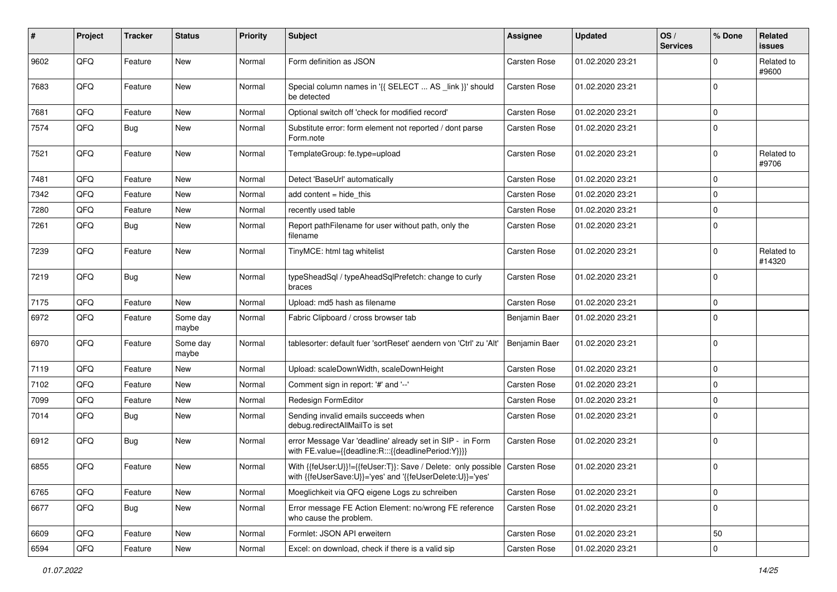| #    | Project | <b>Tracker</b> | <b>Status</b>     | <b>Priority</b> | <b>Subject</b>                                                                                                                            | Assignee      | <b>Updated</b>   | OS/<br><b>Services</b> | % Done       | Related<br>issues    |
|------|---------|----------------|-------------------|-----------------|-------------------------------------------------------------------------------------------------------------------------------------------|---------------|------------------|------------------------|--------------|----------------------|
| 9602 | QFQ     | Feature        | <b>New</b>        | Normal          | Form definition as JSON                                                                                                                   | Carsten Rose  | 01.02.2020 23:21 |                        | <sup>0</sup> | Related to<br>#9600  |
| 7683 | QFQ     | Feature        | New               | Normal          | Special column names in '{{ SELECT  AS link }}' should<br>be detected                                                                     | Carsten Rose  | 01.02.2020 23:21 |                        | $\Omega$     |                      |
| 7681 | QFQ     | Feature        | New               | Normal          | Optional switch off 'check for modified record'                                                                                           | Carsten Rose  | 01.02.2020 23:21 |                        | 0            |                      |
| 7574 | QFQ     | Bug            | <b>New</b>        | Normal          | Substitute error: form element not reported / dont parse<br>Form.note                                                                     | Carsten Rose  | 01.02.2020 23:21 |                        | $\Omega$     |                      |
| 7521 | QFQ     | Feature        | New               | Normal          | TemplateGroup: fe.type=upload                                                                                                             | Carsten Rose  | 01.02.2020 23:21 |                        | $\Omega$     | Related to<br>#9706  |
| 7481 | QFQ     | Feature        | <b>New</b>        | Normal          | Detect 'BaseUrl' automatically                                                                                                            | Carsten Rose  | 01.02.2020 23:21 |                        | $\Omega$     |                      |
| 7342 | QFQ     | Feature        | <b>New</b>        | Normal          | add content = hide_this                                                                                                                   | Carsten Rose  | 01.02.2020 23:21 |                        | $\mathbf 0$  |                      |
| 7280 | QFQ     | Feature        | <b>New</b>        | Normal          | recently used table                                                                                                                       | Carsten Rose  | 01.02.2020 23:21 |                        | 0            |                      |
| 7261 | QFQ     | Bug            | <b>New</b>        | Normal          | Report pathFilename for user without path, only the<br>filename                                                                           | Carsten Rose  | 01.02.2020 23:21 |                        | $\Omega$     |                      |
| 7239 | QFQ     | Feature        | <b>New</b>        | Normal          | TinyMCE: html tag whitelist                                                                                                               | Carsten Rose  | 01.02.2020 23:21 |                        | $\Omega$     | Related to<br>#14320 |
| 7219 | QFQ     | Bug            | <b>New</b>        | Normal          | typeSheadSql / typeAheadSqlPrefetch: change to curly<br>braces                                                                            | Carsten Rose  | 01.02.2020 23:21 |                        | $\Omega$     |                      |
| 7175 | QFQ     | Feature        | <b>New</b>        | Normal          | Upload: md5 hash as filename                                                                                                              | Carsten Rose  | 01.02.2020 23:21 |                        | 0            |                      |
| 6972 | QFQ     | Feature        | Some day<br>maybe | Normal          | Fabric Clipboard / cross browser tab                                                                                                      | Benjamin Baer | 01.02.2020 23:21 |                        | $\Omega$     |                      |
| 6970 | QFQ     | Feature        | Some day<br>maybe | Normal          | tablesorter: default fuer 'sortReset' aendern von 'Ctrl' zu 'Alt'                                                                         | Benjamin Baer | 01.02.2020 23:21 |                        | $\Omega$     |                      |
| 7119 | QFQ     | Feature        | <b>New</b>        | Normal          | Upload: scaleDownWidth, scaleDownHeight                                                                                                   | Carsten Rose  | 01.02.2020 23:21 |                        | $\Omega$     |                      |
| 7102 | QFQ     | Feature        | New               | Normal          | Comment sign in report: '#' and '--'                                                                                                      | Carsten Rose  | 01.02.2020 23:21 |                        | 0            |                      |
| 7099 | QFQ     | Feature        | <b>New</b>        | Normal          | Redesign FormEditor                                                                                                                       | Carsten Rose  | 01.02.2020 23:21 |                        | $\mathbf 0$  |                      |
| 7014 | QFQ     | <b>Bug</b>     | New               | Normal          | Sending invalid emails succeeds when<br>debug.redirectAllMailTo is set                                                                    | Carsten Rose  | 01.02.2020 23:21 |                        | $\Omega$     |                      |
| 6912 | QFQ     | <b>Bug</b>     | New               | Normal          | error Message Var 'deadline' already set in SIP - in Form<br>with FE.value={{deadline:R:::{{deadlinePeriod:Y}}}}                          | Carsten Rose  | 01.02.2020 23:21 |                        | 0            |                      |
| 6855 | QFQ     | Feature        | <b>New</b>        | Normal          | With {{feUser:U}}!={{feUser:T}}: Save / Delete: only possible   Carsten Rose<br>with {{feUserSave:U}}='yes' and '{{feUserDelete:U}}='yes' |               | 01.02.2020 23:21 |                        | $\Omega$     |                      |
| 6765 | QFQ     | Feature        | New               | Normal          | Moeglichkeit via QFQ eigene Logs zu schreiben                                                                                             | Carsten Rose  | 01.02.2020 23:21 |                        | 0            |                      |
| 6677 | QFQ     | <b>Bug</b>     | New               | Normal          | Error message FE Action Element: no/wrong FE reference<br>who cause the problem.                                                          | Carsten Rose  | 01.02.2020 23:21 |                        | $\mathbf 0$  |                      |
| 6609 | QFQ     | Feature        | New               | Normal          | Formlet: JSON API erweitern                                                                                                               | Carsten Rose  | 01.02.2020 23:21 |                        | 50           |                      |
| 6594 | QFQ     | Feature        | New               | Normal          | Excel: on download, check if there is a valid sip                                                                                         | Carsten Rose  | 01.02.2020 23:21 |                        | $\mathbf 0$  |                      |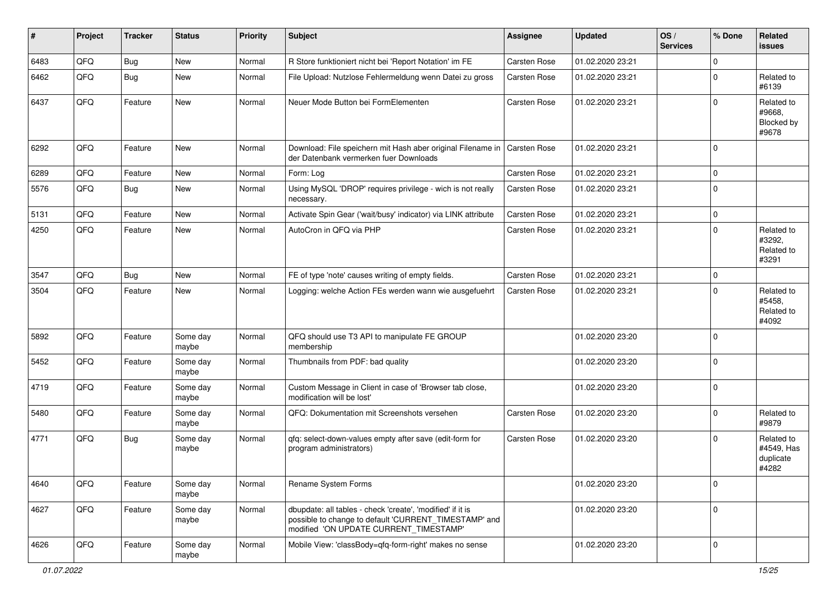| #    | Project | <b>Tracker</b> | <b>Status</b>     | Priority | <b>Subject</b>                                                                                                                                                | Assignee            | <b>Updated</b>   | OS/<br><b>Services</b> | % Done      | Related<br>issues                              |
|------|---------|----------------|-------------------|----------|---------------------------------------------------------------------------------------------------------------------------------------------------------------|---------------------|------------------|------------------------|-------------|------------------------------------------------|
| 6483 | QFQ     | <b>Bug</b>     | New               | Normal   | R Store funktioniert nicht bei 'Report Notation' im FE                                                                                                        | Carsten Rose        | 01.02.2020 23:21 |                        | $\Omega$    |                                                |
| 6462 | QFQ     | <b>Bug</b>     | New               | Normal   | File Upload: Nutzlose Fehlermeldung wenn Datei zu gross                                                                                                       | Carsten Rose        | 01.02.2020 23:21 |                        | $\Omega$    | Related to<br>#6139                            |
| 6437 | QFQ     | Feature        | <b>New</b>        | Normal   | Neuer Mode Button bei FormElementen                                                                                                                           | Carsten Rose        | 01.02.2020 23:21 |                        | $\Omega$    | Related to<br>#9668,<br>Blocked by<br>#9678    |
| 6292 | QFQ     | Feature        | New               | Normal   | Download: File speichern mit Hash aber original Filename in<br>der Datenbank vermerken fuer Downloads                                                         | <b>Carsten Rose</b> | 01.02.2020 23:21 |                        | $\Omega$    |                                                |
| 6289 | QFQ     | Feature        | New               | Normal   | Form: Log                                                                                                                                                     | Carsten Rose        | 01.02.2020 23:21 |                        | $\mathbf 0$ |                                                |
| 5576 | QFQ     | <b>Bug</b>     | New               | Normal   | Using MySQL 'DROP' requires privilege - wich is not really<br>necessary.                                                                                      | Carsten Rose        | 01.02.2020 23:21 |                        | $\Omega$    |                                                |
| 5131 | QFQ     | Feature        | New               | Normal   | Activate Spin Gear ('wait/busy' indicator) via LINK attribute                                                                                                 | Carsten Rose        | 01.02.2020 23:21 |                        | $\mathbf 0$ |                                                |
| 4250 | QFQ     | Feature        | New               | Normal   | AutoCron in QFQ via PHP                                                                                                                                       | Carsten Rose        | 01.02.2020 23:21 |                        | $\Omega$    | Related to<br>#3292,<br>Related to<br>#3291    |
| 3547 | QFQ     | <b>Bug</b>     | <b>New</b>        | Normal   | FE of type 'note' causes writing of empty fields.                                                                                                             | Carsten Rose        | 01.02.2020 23:21 |                        | $\mathbf 0$ |                                                |
| 3504 | QFQ     | Feature        | New               | Normal   | Logging: welche Action FEs werden wann wie ausgefuehrt                                                                                                        | Carsten Rose        | 01.02.2020 23:21 |                        | $\Omega$    | Related to<br>#5458,<br>Related to<br>#4092    |
| 5892 | QFQ     | Feature        | Some day<br>maybe | Normal   | QFQ should use T3 API to manipulate FE GROUP<br>membership                                                                                                    |                     | 01.02.2020 23:20 |                        | 0           |                                                |
| 5452 | QFQ     | Feature        | Some day<br>maybe | Normal   | Thumbnails from PDF: bad quality                                                                                                                              |                     | 01.02.2020 23:20 |                        | $\Omega$    |                                                |
| 4719 | QFQ     | Feature        | Some day<br>maybe | Normal   | Custom Message in Client in case of 'Browser tab close,<br>modification will be lost'                                                                         |                     | 01.02.2020 23:20 |                        | $\Omega$    |                                                |
| 5480 | QFQ     | Feature        | Some day<br>maybe | Normal   | QFQ: Dokumentation mit Screenshots versehen                                                                                                                   | Carsten Rose        | 01.02.2020 23:20 |                        | $\Omega$    | Related to<br>#9879                            |
| 4771 | QFQ     | <b>Bug</b>     | Some day<br>maybe | Normal   | qfq: select-down-values empty after save (edit-form for<br>program administrators)                                                                            | Carsten Rose        | 01.02.2020 23:20 |                        | $\Omega$    | Related to<br>#4549, Has<br>duplicate<br>#4282 |
| 4640 | QFQ     | Feature        | Some day<br>maybe | Normal   | Rename System Forms                                                                                                                                           |                     | 01.02.2020 23:20 |                        | $\mathbf 0$ |                                                |
| 4627 | QFQ     | Feature        | Some day<br>maybe | Normal   | dbupdate: all tables - check 'create', 'modified' if it is<br>possible to change to default 'CURRENT_TIMESTAMP' and<br>modified 'ON UPDATE CURRENT_TIMESTAMP' |                     | 01.02.2020 23:20 |                        | 0           |                                                |
| 4626 | QFQ     | Feature        | Some day<br>maybe | Normal   | Mobile View: 'classBody=qfq-form-right' makes no sense                                                                                                        |                     | 01.02.2020 23:20 |                        | 0           |                                                |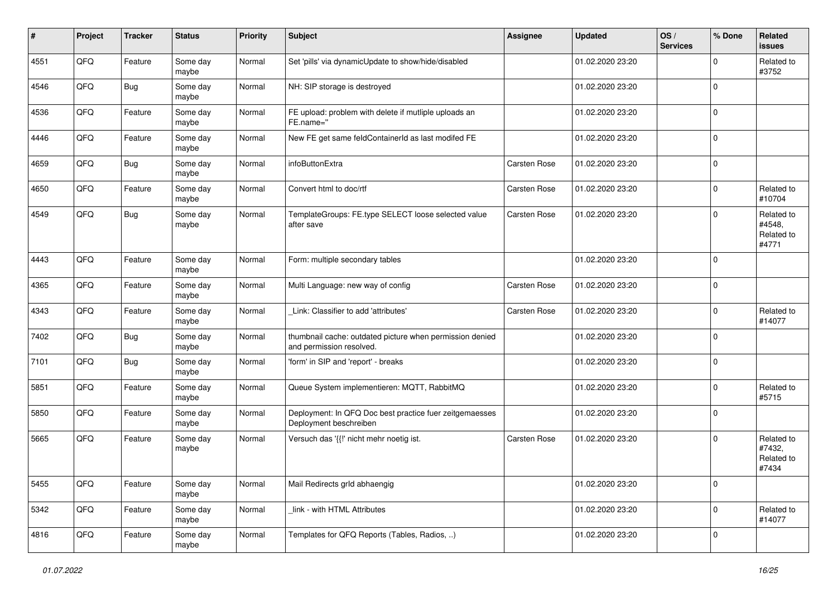| #    | Project | <b>Tracker</b> | <b>Status</b>     | <b>Priority</b> | <b>Subject</b>                                                                       | <b>Assignee</b> | <b>Updated</b>   | OS/<br><b>Services</b> | % Done      | Related<br><b>issues</b>                    |
|------|---------|----------------|-------------------|-----------------|--------------------------------------------------------------------------------------|-----------------|------------------|------------------------|-------------|---------------------------------------------|
| 4551 | QFQ     | Feature        | Some day<br>maybe | Normal          | Set 'pills' via dynamicUpdate to show/hide/disabled                                  |                 | 01.02.2020 23:20 |                        | $\Omega$    | Related to<br>#3752                         |
| 4546 | QFQ     | <b>Bug</b>     | Some day<br>maybe | Normal          | NH: SIP storage is destroyed                                                         |                 | 01.02.2020 23:20 |                        | $\Omega$    |                                             |
| 4536 | QFQ     | Feature        | Some day<br>maybe | Normal          | FE upload: problem with delete if mutliple uploads an<br>FE.name="                   |                 | 01.02.2020 23:20 |                        | $\Omega$    |                                             |
| 4446 | QFQ     | Feature        | Some day<br>maybe | Normal          | New FE get same feldContainerId as last modifed FE                                   |                 | 01.02.2020 23:20 |                        | $\mathbf 0$ |                                             |
| 4659 | QFQ     | <b>Bug</b>     | Some day<br>maybe | Normal          | infoButtonExtra                                                                      | Carsten Rose    | 01.02.2020 23:20 |                        | $\Omega$    |                                             |
| 4650 | QFQ     | Feature        | Some day<br>maybe | Normal          | Convert html to doc/rtf                                                              | Carsten Rose    | 01.02.2020 23:20 |                        | $\Omega$    | Related to<br>#10704                        |
| 4549 | QFQ     | Bug            | Some day<br>maybe | Normal          | TemplateGroups: FE.type SELECT loose selected value<br>after save                    | Carsten Rose    | 01.02.2020 23:20 |                        | $\Omega$    | Related to<br>#4548,<br>Related to<br>#4771 |
| 4443 | QFQ     | Feature        | Some day<br>maybe | Normal          | Form: multiple secondary tables                                                      |                 | 01.02.2020 23:20 |                        | $\Omega$    |                                             |
| 4365 | QFQ     | Feature        | Some day<br>maybe | Normal          | Multi Language: new way of config                                                    | Carsten Rose    | 01.02.2020 23:20 |                        | $\Omega$    |                                             |
| 4343 | QFQ     | Feature        | Some day<br>maybe | Normal          | Link: Classifier to add 'attributes'                                                 | Carsten Rose    | 01.02.2020 23:20 |                        | $\mathbf 0$ | Related to<br>#14077                        |
| 7402 | QFQ     | Bug            | Some day<br>maybe | Normal          | thumbnail cache: outdated picture when permission denied<br>and permission resolved. |                 | 01.02.2020 23:20 |                        | $\mathbf 0$ |                                             |
| 7101 | QFQ     | <b>Bug</b>     | Some day<br>maybe | Normal          | 'form' in SIP and 'report' - breaks                                                  |                 | 01.02.2020 23:20 |                        | $\Omega$    |                                             |
| 5851 | QFQ     | Feature        | Some day<br>maybe | Normal          | Queue System implementieren: MQTT, RabbitMQ                                          |                 | 01.02.2020 23:20 |                        | $\Omega$    | Related to<br>#5715                         |
| 5850 | QFQ     | Feature        | Some day<br>maybe | Normal          | Deployment: In QFQ Doc best practice fuer zeitgemaesses<br>Deployment beschreiben    |                 | 01.02.2020 23:20 |                        | $\Omega$    |                                             |
| 5665 | QFQ     | Feature        | Some day<br>maybe | Normal          | Versuch das '{{!' nicht mehr noetig ist.                                             | Carsten Rose    | 01.02.2020 23:20 |                        | $\Omega$    | Related to<br>#7432,<br>Related to<br>#7434 |
| 5455 | QFG     | Feature        | Some day<br>maybe | Normal          | Mail Redirects grld abhaengig                                                        |                 | 01.02.2020 23:20 |                        | l 0         |                                             |
| 5342 | QFQ     | Feature        | Some day<br>maybe | Normal          | link - with HTML Attributes                                                          |                 | 01.02.2020 23:20 |                        | $\mathbf 0$ | Related to<br>#14077                        |
| 4816 | QFG     | Feature        | Some day<br>maybe | Normal          | Templates for QFQ Reports (Tables, Radios, )                                         |                 | 01.02.2020 23:20 |                        | $\mathbf 0$ |                                             |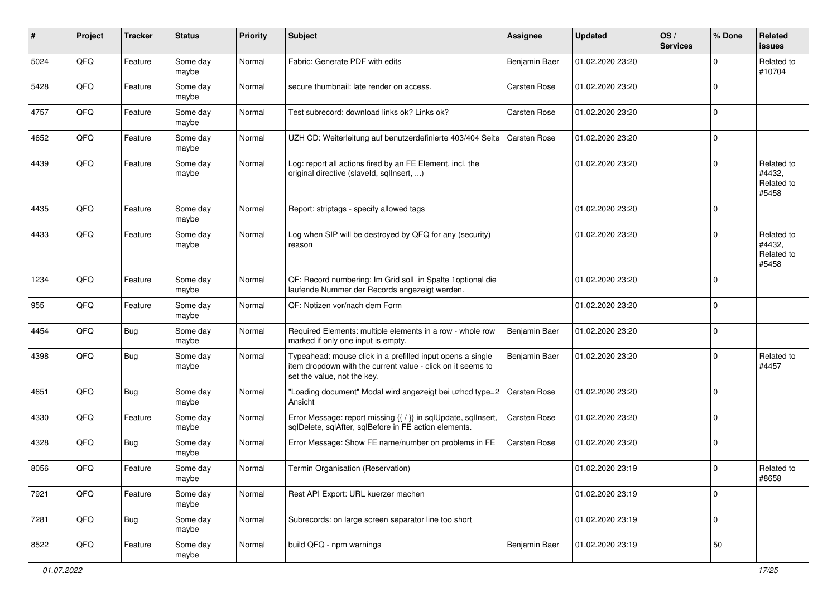| $\sharp$ | Project | <b>Tracker</b> | <b>Status</b>     | <b>Priority</b> | <b>Subject</b>                                                                                                                                           | <b>Assignee</b> | <b>Updated</b>   | OS/<br><b>Services</b> | % Done         | Related<br><b>issues</b>                    |
|----------|---------|----------------|-------------------|-----------------|----------------------------------------------------------------------------------------------------------------------------------------------------------|-----------------|------------------|------------------------|----------------|---------------------------------------------|
| 5024     | QFQ     | Feature        | Some day<br>maybe | Normal          | Fabric: Generate PDF with edits                                                                                                                          | Benjamin Baer   | 01.02.2020 23:20 |                        | $\Omega$       | Related to<br>#10704                        |
| 5428     | QFQ     | Feature        | Some day<br>maybe | Normal          | secure thumbnail: late render on access.                                                                                                                 | Carsten Rose    | 01.02.2020 23:20 |                        | $\mathbf 0$    |                                             |
| 4757     | QFQ     | Feature        | Some day<br>maybe | Normal          | Test subrecord: download links ok? Links ok?                                                                                                             | Carsten Rose    | 01.02.2020 23:20 |                        | $\mathbf 0$    |                                             |
| 4652     | QFQ     | Feature        | Some day<br>maybe | Normal          | UZH CD: Weiterleitung auf benutzerdefinierte 403/404 Seite                                                                                               | Carsten Rose    | 01.02.2020 23:20 |                        | $\mathbf 0$    |                                             |
| 4439     | QFQ     | Feature        | Some day<br>maybe | Normal          | Log: report all actions fired by an FE Element, incl. the<br>original directive (slaveld, sqllnsert, )                                                   |                 | 01.02.2020 23:20 |                        | $\mathbf 0$    | Related to<br>#4432,<br>Related to<br>#5458 |
| 4435     | QFQ     | Feature        | Some day<br>maybe | Normal          | Report: striptags - specify allowed tags                                                                                                                 |                 | 01.02.2020 23:20 |                        | $\Omega$       |                                             |
| 4433     | QFQ     | Feature        | Some day<br>maybe | Normal          | Log when SIP will be destroyed by QFQ for any (security)<br>reason                                                                                       |                 | 01.02.2020 23:20 |                        | $\mathbf 0$    | Related to<br>#4432,<br>Related to<br>#5458 |
| 1234     | QFQ     | Feature        | Some day<br>maybe | Normal          | QF: Record numbering: Im Grid soll in Spalte 1 optional die<br>laufende Nummer der Records angezeigt werden.                                             |                 | 01.02.2020 23:20 |                        | $\Omega$       |                                             |
| 955      | QFQ     | Feature        | Some day<br>maybe | Normal          | QF: Notizen vor/nach dem Form                                                                                                                            |                 | 01.02.2020 23:20 |                        | $\mathbf 0$    |                                             |
| 4454     | QFQ     | Bug            | Some day<br>maybe | Normal          | Required Elements: multiple elements in a row - whole row<br>marked if only one input is empty.                                                          | Benjamin Baer   | 01.02.2020 23:20 |                        | $\Omega$       |                                             |
| 4398     | QFQ     | <b>Bug</b>     | Some day<br>maybe | Normal          | Typeahead: mouse click in a prefilled input opens a single<br>item dropdown with the current value - click on it seems to<br>set the value, not the key. | Benjamin Baer   | 01.02.2020 23:20 |                        | $\mathbf 0$    | Related to<br>#4457                         |
| 4651     | QFQ     | <b>Bug</b>     | Some day<br>maybe | Normal          | "Loading document" Modal wird angezeigt bei uzhcd type=2<br>Ansicht                                                                                      | Carsten Rose    | 01.02.2020 23:20 |                        | $\Omega$       |                                             |
| 4330     | QFQ     | Feature        | Some day<br>maybe | Normal          | Error Message: report missing {{ / }} in sqlUpdate, sqlInsert,<br>sqlDelete, sqlAfter, sqlBefore in FE action elements.                                  | Carsten Rose    | 01.02.2020 23:20 |                        | $\overline{0}$ |                                             |
| 4328     | QFQ     | Bug            | Some day<br>maybe | Normal          | Error Message: Show FE name/number on problems in FE                                                                                                     | Carsten Rose    | 01.02.2020 23:20 |                        | 0              |                                             |
| 8056     | QFQ     | Feature        | Some day<br>maybe | Normal          | Termin Organisation (Reservation)                                                                                                                        |                 | 01.02.2020 23:19 |                        | 0              | Related to<br>#8658                         |
| 7921     | QFG     | Feature        | Some day<br>maybe | Normal          | Rest API Export: URL kuerzer machen                                                                                                                      |                 | 01.02.2020 23:19 |                        | $\mathbf 0$    |                                             |
| 7281     | QFQ     | <b>Bug</b>     | Some day<br>maybe | Normal          | Subrecords: on large screen separator line too short                                                                                                     |                 | 01.02.2020 23:19 |                        | $\mathbf 0$    |                                             |
| 8522     | QFG     | Feature        | Some day<br>maybe | Normal          | build QFQ - npm warnings                                                                                                                                 | Benjamin Baer   | 01.02.2020 23:19 |                        | 50             |                                             |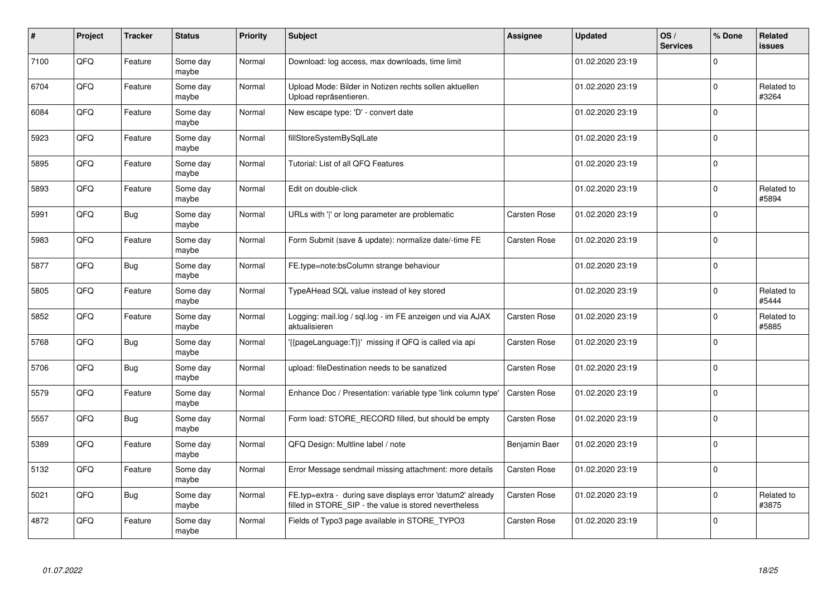| #    | Project | <b>Tracker</b> | <b>Status</b>     | <b>Priority</b> | <b>Subject</b>                                                                                                       | Assignee            | <b>Updated</b>   | OS/<br><b>Services</b> | % Done      | Related<br>issues   |
|------|---------|----------------|-------------------|-----------------|----------------------------------------------------------------------------------------------------------------------|---------------------|------------------|------------------------|-------------|---------------------|
| 7100 | QFQ     | Feature        | Some day<br>maybe | Normal          | Download: log access, max downloads, time limit                                                                      |                     | 01.02.2020 23:19 |                        | $\Omega$    |                     |
| 6704 | QFQ     | Feature        | Some day<br>maybe | Normal          | Upload Mode: Bilder in Notizen rechts sollen aktuellen<br>Upload repräsentieren.                                     |                     | 01.02.2020 23:19 |                        | $\Omega$    | Related to<br>#3264 |
| 6084 | QFQ     | Feature        | Some day<br>maybe | Normal          | New escape type: 'D' - convert date                                                                                  |                     | 01.02.2020 23:19 |                        | $\Omega$    |                     |
| 5923 | QFQ     | Feature        | Some day<br>maybe | Normal          | fillStoreSystemBySqlLate                                                                                             |                     | 01.02.2020 23:19 |                        | $\Omega$    |                     |
| 5895 | QFQ     | Feature        | Some day<br>maybe | Normal          | Tutorial: List of all QFQ Features                                                                                   |                     | 01.02.2020 23:19 |                        | $\mathbf 0$ |                     |
| 5893 | QFQ     | Feature        | Some day<br>maybe | Normal          | Edit on double-click                                                                                                 |                     | 01.02.2020 23:19 |                        | $\Omega$    | Related to<br>#5894 |
| 5991 | QFQ     | Bug            | Some day<br>maybe | Normal          | URLs with ' ' or long parameter are problematic                                                                      | Carsten Rose        | 01.02.2020 23:19 |                        | $\Omega$    |                     |
| 5983 | QFQ     | Feature        | Some day<br>maybe | Normal          | Form Submit (save & update): normalize date/-time FE                                                                 | Carsten Rose        | 01.02.2020 23:19 |                        | $\Omega$    |                     |
| 5877 | QFQ     | Bug            | Some day<br>maybe | Normal          | FE.type=note:bsColumn strange behaviour                                                                              |                     | 01.02.2020 23:19 |                        | $\Omega$    |                     |
| 5805 | QFQ     | Feature        | Some day<br>maybe | Normal          | TypeAHead SQL value instead of key stored                                                                            |                     | 01.02.2020 23:19 |                        | $\Omega$    | Related to<br>#5444 |
| 5852 | QFQ     | Feature        | Some day<br>maybe | Normal          | Logging: mail.log / sql.log - im FE anzeigen und via AJAX<br>aktualisieren                                           | Carsten Rose        | 01.02.2020 23:19 |                        | $\Omega$    | Related to<br>#5885 |
| 5768 | QFQ     | Bug            | Some day<br>maybe | Normal          | '{{pageLanguage:T}}' missing if QFQ is called via api                                                                | Carsten Rose        | 01.02.2020 23:19 |                        | $\mathbf 0$ |                     |
| 5706 | QFQ     | <b>Bug</b>     | Some day<br>maybe | Normal          | upload: fileDestination needs to be sanatized                                                                        | Carsten Rose        | 01.02.2020 23:19 |                        | 0           |                     |
| 5579 | QFQ     | Feature        | Some day<br>maybe | Normal          | Enhance Doc / Presentation: variable type 'link column type'                                                         | <b>Carsten Rose</b> | 01.02.2020 23:19 |                        | $\mathbf 0$ |                     |
| 5557 | QFQ     | <b>Bug</b>     | Some day<br>maybe | Normal          | Form load: STORE_RECORD filled, but should be empty                                                                  | Carsten Rose        | 01.02.2020 23:19 |                        | $\Omega$    |                     |
| 5389 | QFQ     | Feature        | Some day<br>maybe | Normal          | QFQ Design: Multline label / note                                                                                    | Benjamin Baer       | 01.02.2020 23:19 |                        | $\Omega$    |                     |
| 5132 | QFQ     | Feature        | Some day<br>maybe | Normal          | Error Message sendmail missing attachment: more details                                                              | Carsten Rose        | 01.02.2020 23:19 |                        | $\Omega$    |                     |
| 5021 | QFQ     | <b>Bug</b>     | Some day<br>maybe | Normal          | FE.typ=extra - during save displays error 'datum2' already<br>filled in STORE_SIP - the value is stored nevertheless | Carsten Rose        | 01.02.2020 23:19 |                        | 0           | Related to<br>#3875 |
| 4872 | QFQ     | Feature        | Some day<br>maybe | Normal          | Fields of Typo3 page available in STORE_TYPO3                                                                        | Carsten Rose        | 01.02.2020 23:19 |                        | $\Omega$    |                     |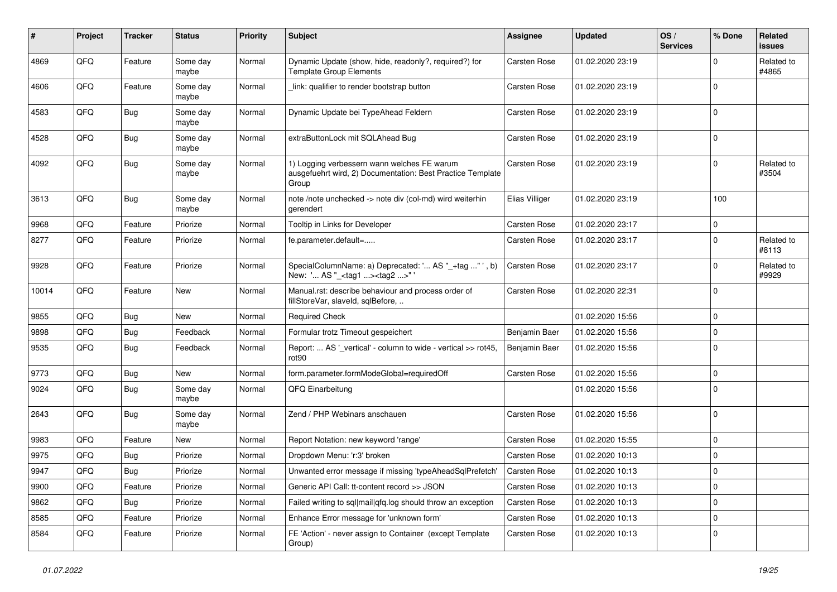| $\pmb{\#}$ | Project | <b>Tracker</b> | <b>Status</b>     | <b>Priority</b> | Subject                                                                                                            | <b>Assignee</b>     | <b>Updated</b>   | OS/<br><b>Services</b> | % Done      | Related<br>issues   |
|------------|---------|----------------|-------------------|-----------------|--------------------------------------------------------------------------------------------------------------------|---------------------|------------------|------------------------|-------------|---------------------|
| 4869       | QFQ     | Feature        | Some day<br>maybe | Normal          | Dynamic Update (show, hide, readonly?, required?) for<br><b>Template Group Elements</b>                            | Carsten Rose        | 01.02.2020 23:19 |                        | $\Omega$    | Related to<br>#4865 |
| 4606       | QFQ     | Feature        | Some day<br>maybe | Normal          | link: qualifier to render bootstrap button                                                                         | Carsten Rose        | 01.02.2020 23:19 |                        | $\mathbf 0$ |                     |
| 4583       | QFQ     | Bug            | Some day<br>maybe | Normal          | Dynamic Update bei TypeAhead Feldern                                                                               | Carsten Rose        | 01.02.2020 23:19 |                        | $\Omega$    |                     |
| 4528       | QFQ     | <b>Bug</b>     | Some day<br>maybe | Normal          | extraButtonLock mit SQLAhead Bug                                                                                   | Carsten Rose        | 01.02.2020 23:19 |                        | $\mathbf 0$ |                     |
| 4092       | QFQ     | <b>Bug</b>     | Some day<br>maybe | Normal          | 1) Logging verbessern wann welches FE warum<br>ausgefuehrt wird, 2) Documentation: Best Practice Template<br>Group | Carsten Rose        | 01.02.2020 23:19 |                        | $\mathbf 0$ | Related to<br>#3504 |
| 3613       | QFQ     | <b>Bug</b>     | Some day<br>maybe | Normal          | note /note unchecked -> note div (col-md) wird weiterhin<br>gerendert                                              | Elias Villiger      | 01.02.2020 23:19 |                        | 100         |                     |
| 9968       | QFQ     | Feature        | Priorize          | Normal          | Tooltip in Links for Developer                                                                                     | Carsten Rose        | 01.02.2020 23:17 |                        | $\mathbf 0$ |                     |
| 8277       | QFQ     | Feature        | Priorize          | Normal          | fe.parameter.default=                                                                                              | Carsten Rose        | 01.02.2020 23:17 |                        | $\Omega$    | Related to<br>#8113 |
| 9928       | QFQ     | Feature        | Priorize          | Normal          | SpecialColumnName: a) Deprecated: ' AS "_+tag " ', b)<br>New: ' AS "_ <tag1><tag2>"</tag2></tag1>                  | Carsten Rose        | 01.02.2020 23:17 |                        | $\Omega$    | Related to<br>#9929 |
| 10014      | QFQ     | Feature        | New               | Normal          | Manual.rst: describe behaviour and process order of<br>fillStoreVar, slaveId, sqlBefore,                           | Carsten Rose        | 01.02.2020 22:31 |                        | $\Omega$    |                     |
| 9855       | QFQ     | <b>Bug</b>     | New               | Normal          | <b>Required Check</b>                                                                                              |                     | 01.02.2020 15:56 |                        | $\mathbf 0$ |                     |
| 9898       | QFQ     | <b>Bug</b>     | Feedback          | Normal          | Formular trotz Timeout gespeichert                                                                                 | Benjamin Baer       | 01.02.2020 15:56 |                        | $\mathbf 0$ |                     |
| 9535       | QFQ     | Bug            | Feedback          | Normal          | Report:  AS '_vertical' - column to wide - vertical >> rot45,<br>rot <sub>90</sub>                                 | Benjamin Baer       | 01.02.2020 15:56 |                        | $\mathbf 0$ |                     |
| 9773       | QFQ     | Bug            | New               | Normal          | form.parameter.formModeGlobal=requiredOff                                                                          | Carsten Rose        | 01.02.2020 15:56 |                        | $\mathbf 0$ |                     |
| 9024       | QFQ     | Bug            | Some day<br>maybe | Normal          | QFQ Einarbeitung                                                                                                   |                     | 01.02.2020 15:56 |                        | $\Omega$    |                     |
| 2643       | QFQ     | <b>Bug</b>     | Some day<br>maybe | Normal          | Zend / PHP Webinars anschauen                                                                                      | Carsten Rose        | 01.02.2020 15:56 |                        | $\Omega$    |                     |
| 9983       | QFQ     | Feature        | New               | Normal          | Report Notation: new keyword 'range'                                                                               | Carsten Rose        | 01.02.2020 15:55 |                        | $\Omega$    |                     |
| 9975       | QFQ     | <b>Bug</b>     | Priorize          | Normal          | Dropdown Menu: 'r:3' broken                                                                                        | Carsten Rose        | 01.02.2020 10:13 |                        | $\Omega$    |                     |
| 9947       | QFQ     | Bug            | Priorize          | Normal          | Unwanted error message if missing 'typeAheadSqlPrefetch'                                                           | <b>Carsten Rose</b> | 01.02.2020 10:13 |                        | l O         |                     |
| 9900       | QFQ     | Feature        | Priorize          | Normal          | Generic API Call: tt-content record >> JSON                                                                        | Carsten Rose        | 01.02.2020 10:13 |                        | $\mathbf 0$ |                     |
| 9862       | QFQ     | <b>Bug</b>     | Priorize          | Normal          | Failed writing to sql mail qfq.log should throw an exception                                                       | Carsten Rose        | 01.02.2020 10:13 |                        | $\mathbf 0$ |                     |
| 8585       | QFQ     | Feature        | Priorize          | Normal          | Enhance Error message for 'unknown form'                                                                           | Carsten Rose        | 01.02.2020 10:13 |                        | $\mathbf 0$ |                     |
| 8584       | QFQ     | Feature        | Priorize          | Normal          | FE 'Action' - never assign to Container (except Template<br>Group)                                                 | Carsten Rose        | 01.02.2020 10:13 |                        | $\mathbf 0$ |                     |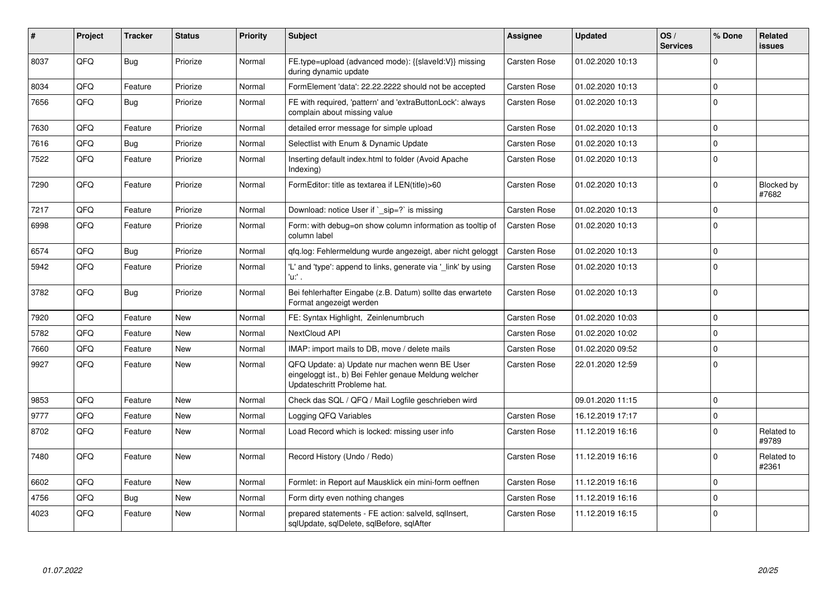| ∦    | Project | Tracker    | <b>Status</b> | <b>Priority</b> | <b>Subject</b>                                                                                                                        | Assignee     | <b>Updated</b>   | OS/<br><b>Services</b> | % Done      | Related<br><b>issues</b> |
|------|---------|------------|---------------|-----------------|---------------------------------------------------------------------------------------------------------------------------------------|--------------|------------------|------------------------|-------------|--------------------------|
| 8037 | QFQ     | Bug        | Priorize      | Normal          | FE.type=upload (advanced mode): {{slaveld:V}} missing<br>during dynamic update                                                        | Carsten Rose | 01.02.2020 10:13 |                        | $\Omega$    |                          |
| 8034 | QFQ     | Feature    | Priorize      | Normal          | FormElement 'data': 22.22.2222 should not be accepted                                                                                 | Carsten Rose | 01.02.2020 10:13 |                        | $\mathbf 0$ |                          |
| 7656 | QFQ     | Bug        | Priorize      | Normal          | FE with required, 'pattern' and 'extraButtonLock': always<br>complain about missing value                                             | Carsten Rose | 01.02.2020 10:13 |                        | $\Omega$    |                          |
| 7630 | QFQ     | Feature    | Priorize      | Normal          | detailed error message for simple upload                                                                                              | Carsten Rose | 01.02.2020 10:13 |                        | $\Omega$    |                          |
| 7616 | QFQ     | <b>Bug</b> | Priorize      | Normal          | Selectlist with Enum & Dynamic Update                                                                                                 | Carsten Rose | 01.02.2020 10:13 |                        | $\Omega$    |                          |
| 7522 | QFQ     | Feature    | Priorize      | Normal          | Inserting default index.html to folder (Avoid Apache<br>Indexing)                                                                     | Carsten Rose | 01.02.2020 10:13 |                        | $\Omega$    |                          |
| 7290 | QFQ     | Feature    | Priorize      | Normal          | FormEditor: title as textarea if LEN(title)>60                                                                                        | Carsten Rose | 01.02.2020 10:13 |                        | $\Omega$    | Blocked by<br>#7682      |
| 7217 | QFQ     | Feature    | Priorize      | Normal          | Download: notice User if `_sip=?` is missing                                                                                          | Carsten Rose | 01.02.2020 10:13 |                        | $\Omega$    |                          |
| 6998 | QFQ     | Feature    | Priorize      | Normal          | Form: with debug=on show column information as tooltip of<br>column label                                                             | Carsten Rose | 01.02.2020 10:13 |                        | $\Omega$    |                          |
| 6574 | QFQ     | <b>Bug</b> | Priorize      | Normal          | gfg.log: Fehlermeldung wurde angezeigt, aber nicht geloggt                                                                            | Carsten Rose | 01.02.2020 10:13 |                        | $\Omega$    |                          |
| 5942 | QFQ     | Feature    | Priorize      | Normal          | 'L' and 'type': append to links, generate via '_link' by using<br>'u:' .                                                              | Carsten Rose | 01.02.2020 10:13 |                        | $\Omega$    |                          |
| 3782 | QFQ     | Bug        | Priorize      | Normal          | Bei fehlerhafter Eingabe (z.B. Datum) sollte das erwartete<br>Format angezeigt werden                                                 | Carsten Rose | 01.02.2020 10:13 |                        | $\Omega$    |                          |
| 7920 | QFQ     | Feature    | <b>New</b>    | Normal          | FE: Syntax Highlight, Zeinlenumbruch                                                                                                  | Carsten Rose | 01.02.2020 10:03 |                        | $\Omega$    |                          |
| 5782 | QFQ     | Feature    | New           | Normal          | NextCloud API                                                                                                                         | Carsten Rose | 01.02.2020 10:02 |                        | $\Omega$    |                          |
| 7660 | QFQ     | Feature    | <b>New</b>    | Normal          | IMAP: import mails to DB, move / delete mails                                                                                         | Carsten Rose | 01.02.2020 09:52 |                        | $\Omega$    |                          |
| 9927 | QFQ     | Feature    | <b>New</b>    | Normal          | QFQ Update: a) Update nur machen wenn BE User<br>eingeloggt ist., b) Bei Fehler genaue Meldung welcher<br>Updateschritt Probleme hat. | Carsten Rose | 22.01.2020 12:59 |                        | $\Omega$    |                          |
| 9853 | QFQ     | Feature    | <b>New</b>    | Normal          | Check das SQL / QFQ / Mail Logfile geschrieben wird                                                                                   |              | 09.01.2020 11:15 |                        | $\Omega$    |                          |
| 9777 | QFQ     | Feature    | <b>New</b>    | Normal          | Logging QFQ Variables                                                                                                                 | Carsten Rose | 16.12.2019 17:17 |                        | $\Omega$    |                          |
| 8702 | QFQ     | Feature    | <b>New</b>    | Normal          | Load Record which is locked: missing user info                                                                                        | Carsten Rose | 11.12.2019 16:16 |                        | $\Omega$    | Related to<br>#9789      |
| 7480 | QFQ     | Feature    | <b>New</b>    | Normal          | Record History (Undo / Redo)                                                                                                          | Carsten Rose | 11.12.2019 16:16 |                        | $\Omega$    | Related to<br>#2361      |
| 6602 | QFQ     | Feature    | <b>New</b>    | Normal          | Formlet: in Report auf Mausklick ein mini-form oeffnen                                                                                | Carsten Rose | 11.12.2019 16:16 |                        | $\Omega$    |                          |
| 4756 | QFQ     | Bug        | <b>New</b>    | Normal          | Form dirty even nothing changes                                                                                                       | Carsten Rose | 11.12.2019 16:16 |                        | $\Omega$    |                          |
| 4023 | QFQ     | Feature    | <b>New</b>    | Normal          | prepared statements - FE action: salveld, sqllnsert,<br>sqlUpdate, sqlDelete, sqlBefore, sqlAfter                                     | Carsten Rose | 11.12.2019 16:15 |                        | $\Omega$    |                          |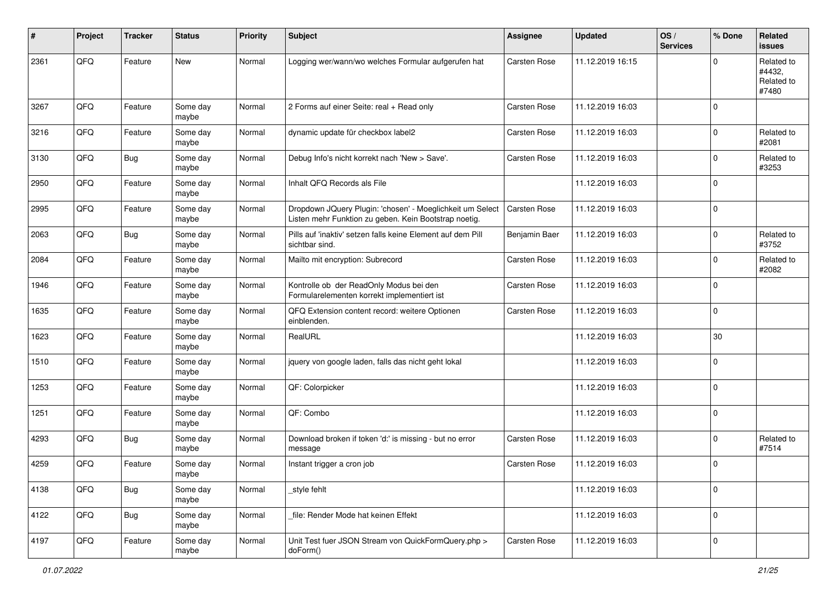| $\sharp$ | Project | <b>Tracker</b> | <b>Status</b>     | <b>Priority</b> | <b>Subject</b>                                                                                                     | <b>Assignee</b> | <b>Updated</b>   | OS/<br><b>Services</b> | % Done      | Related<br><b>issues</b>                    |
|----------|---------|----------------|-------------------|-----------------|--------------------------------------------------------------------------------------------------------------------|-----------------|------------------|------------------------|-------------|---------------------------------------------|
| 2361     | QFQ     | Feature        | <b>New</b>        | Normal          | Logging wer/wann/wo welches Formular aufgerufen hat                                                                | Carsten Rose    | 11.12.2019 16:15 |                        | $\Omega$    | Related to<br>#4432,<br>Related to<br>#7480 |
| 3267     | QFQ     | Feature        | Some day<br>maybe | Normal          | 2 Forms auf einer Seite: real + Read only                                                                          | Carsten Rose    | 11.12.2019 16:03 |                        | $\mathbf 0$ |                                             |
| 3216     | QFQ     | Feature        | Some day<br>maybe | Normal          | dynamic update für checkbox label2                                                                                 | Carsten Rose    | 11.12.2019 16:03 |                        | $\mathbf 0$ | Related to<br>#2081                         |
| 3130     | QFQ     | <b>Bug</b>     | Some day<br>maybe | Normal          | Debug Info's nicht korrekt nach 'New > Save'.                                                                      | Carsten Rose    | 11.12.2019 16:03 |                        | $\mathbf 0$ | Related to<br>#3253                         |
| 2950     | QFQ     | Feature        | Some day<br>maybe | Normal          | Inhalt QFQ Records als File                                                                                        |                 | 11.12.2019 16:03 |                        | $\mathbf 0$ |                                             |
| 2995     | QFQ     | Feature        | Some day<br>maybe | Normal          | Dropdown JQuery Plugin: 'chosen' - Moeglichkeit um Select<br>Listen mehr Funktion zu geben. Kein Bootstrap noetig. | Carsten Rose    | 11.12.2019 16:03 |                        | $\Omega$    |                                             |
| 2063     | QFQ     | Bug            | Some day<br>maybe | Normal          | Pills auf 'inaktiv' setzen falls keine Element auf dem Pill<br>sichtbar sind.                                      | Benjamin Baer   | 11.12.2019 16:03 |                        | $\mathbf 0$ | Related to<br>#3752                         |
| 2084     | QFQ     | Feature        | Some day<br>maybe | Normal          | Mailto mit encryption: Subrecord                                                                                   | Carsten Rose    | 11.12.2019 16:03 |                        | $\mathbf 0$ | Related to<br>#2082                         |
| 1946     | QFQ     | Feature        | Some day<br>maybe | Normal          | Kontrolle ob der ReadOnly Modus bei den<br>Formularelementen korrekt implementiert ist                             | Carsten Rose    | 11.12.2019 16:03 |                        | $\mathbf 0$ |                                             |
| 1635     | QFQ     | Feature        | Some day<br>maybe | Normal          | QFQ Extension content record: weitere Optionen<br>einblenden.                                                      | Carsten Rose    | 11.12.2019 16:03 |                        | $\mathbf 0$ |                                             |
| 1623     | QFQ     | Feature        | Some day<br>maybe | Normal          | RealURL                                                                                                            |                 | 11.12.2019 16:03 |                        | 30          |                                             |
| 1510     | QFQ     | Feature        | Some day<br>maybe | Normal          | jquery von google laden, falls das nicht geht lokal                                                                |                 | 11.12.2019 16:03 |                        | $\mathbf 0$ |                                             |
| 1253     | QFQ     | Feature        | Some day<br>maybe | Normal          | QF: Colorpicker                                                                                                    |                 | 11.12.2019 16:03 |                        | $\mathbf 0$ |                                             |
| 1251     | QFQ     | Feature        | Some day<br>maybe | Normal          | QF: Combo                                                                                                          |                 | 11.12.2019 16:03 |                        | $\mathbf 0$ |                                             |
| 4293     | QFQ     | Bug            | Some day<br>maybe | Normal          | Download broken if token 'd:' is missing - but no error<br>message                                                 | Carsten Rose    | 11.12.2019 16:03 |                        | $\mathbf 0$ | Related to<br>#7514                         |
| 4259     | QFQ     | Feature        | Some day<br>maybe | Normal          | Instant trigger a cron job                                                                                         | Carsten Rose    | 11.12.2019 16:03 |                        | $\mathbf 0$ |                                             |
| 4138     | QFQ     | Bug            | Some day<br>maybe | Normal          | style fehlt                                                                                                        |                 | 11.12.2019 16:03 |                        | 0           |                                             |
| 4122     | QFQ     | Bug            | Some day<br>maybe | Normal          | file: Render Mode hat keinen Effekt                                                                                |                 | 11.12.2019 16:03 |                        | 0           |                                             |
| 4197     | QFG     | Feature        | Some day<br>maybe | Normal          | Unit Test fuer JSON Stream von QuickFormQuery.php ><br>doForm()                                                    | Carsten Rose    | 11.12.2019 16:03 |                        | 0           |                                             |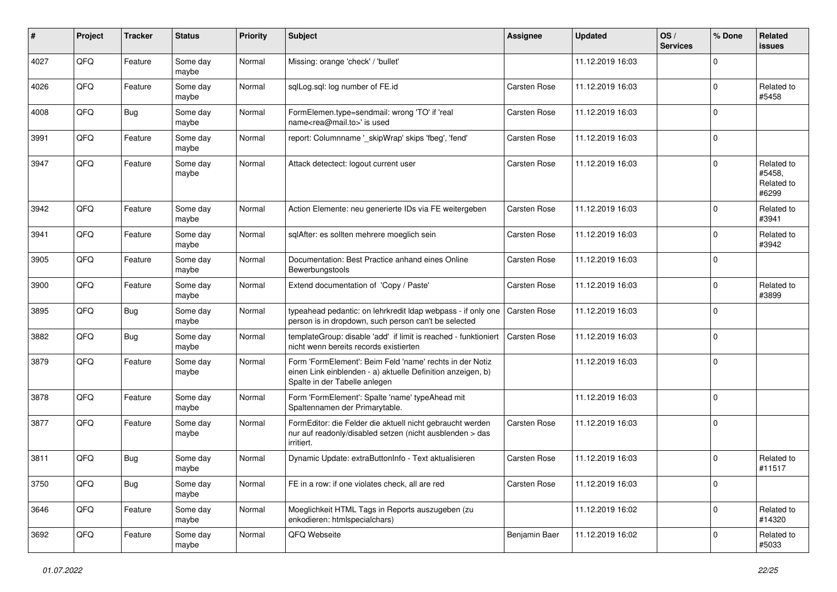| #    | Project | <b>Tracker</b> | <b>Status</b>     | <b>Priority</b> | Subject                                                                                                                                                  | <b>Assignee</b> | <b>Updated</b>   | OS/<br><b>Services</b> | % Done      | Related<br><b>issues</b>                    |
|------|---------|----------------|-------------------|-----------------|----------------------------------------------------------------------------------------------------------------------------------------------------------|-----------------|------------------|------------------------|-------------|---------------------------------------------|
| 4027 | QFQ     | Feature        | Some day<br>maybe | Normal          | Missing: orange 'check' / 'bullet'                                                                                                                       |                 | 11.12.2019 16:03 |                        | $\mathbf 0$ |                                             |
| 4026 | QFQ     | Feature        | Some day<br>maybe | Normal          | sqlLog.sql: log number of FE.id                                                                                                                          | Carsten Rose    | 11.12.2019 16:03 |                        | $\mathbf 0$ | Related to<br>#5458                         |
| 4008 | QFQ     | <b>Bug</b>     | Some day<br>maybe | Normal          | FormElemen.type=sendmail: wrong 'TO' if 'real<br>name <rea@mail.to>' is used</rea@mail.to>                                                               | Carsten Rose    | 11.12.2019 16:03 |                        | $\mathbf 0$ |                                             |
| 3991 | QFQ     | Feature        | Some day<br>maybe | Normal          | report: Columnname '_skipWrap' skips 'fbeg', 'fend'                                                                                                      | Carsten Rose    | 11.12.2019 16:03 |                        | $\mathbf 0$ |                                             |
| 3947 | QFQ     | Feature        | Some day<br>maybe | Normal          | Attack detectect: logout current user                                                                                                                    | Carsten Rose    | 11.12.2019 16:03 |                        | $\mathbf 0$ | Related to<br>#5458.<br>Related to<br>#6299 |
| 3942 | QFQ     | Feature        | Some day<br>maybe | Normal          | Action Elemente: neu generierte IDs via FE weitergeben                                                                                                   | Carsten Rose    | 11.12.2019 16:03 |                        | $\mathbf 0$ | Related to<br>#3941                         |
| 3941 | QFQ     | Feature        | Some day<br>maybe | Normal          | sqlAfter: es sollten mehrere moeglich sein                                                                                                               | Carsten Rose    | 11.12.2019 16:03 |                        | $\mathbf 0$ | Related to<br>#3942                         |
| 3905 | QFQ     | Feature        | Some day<br>maybe | Normal          | Documentation: Best Practice anhand eines Online<br>Bewerbungstools                                                                                      | Carsten Rose    | 11.12.2019 16:03 |                        | $\mathbf 0$ |                                             |
| 3900 | QFQ     | Feature        | Some day<br>maybe | Normal          | Extend documentation of 'Copy / Paste'                                                                                                                   | Carsten Rose    | 11.12.2019 16:03 |                        | $\mathbf 0$ | Related to<br>#3899                         |
| 3895 | QFQ     | Bug            | Some day<br>maybe | Normal          | typeahead pedantic: on lehrkredit Idap webpass - if only one<br>person is in dropdown, such person can't be selected                                     | Carsten Rose    | 11.12.2019 16:03 |                        | $\mathbf 0$ |                                             |
| 3882 | QFQ     | Bug            | Some day<br>maybe | Normal          | templateGroup: disable 'add' if limit is reached - funktioniert<br>nicht wenn bereits records existierten                                                | Carsten Rose    | 11.12.2019 16:03 |                        | $\mathbf 0$ |                                             |
| 3879 | QFQ     | Feature        | Some day<br>maybe | Normal          | Form 'FormElement': Beim Feld 'name' rechts in der Notiz<br>einen Link einblenden - a) aktuelle Definition anzeigen, b)<br>Spalte in der Tabelle anlegen |                 | 11.12.2019 16:03 |                        | $\mathbf 0$ |                                             |
| 3878 | QFQ     | Feature        | Some day<br>maybe | Normal          | Form 'FormElement': Spalte 'name' typeAhead mit<br>Spaltennamen der Primarytable.                                                                        |                 | 11.12.2019 16:03 |                        | $\mathbf 0$ |                                             |
| 3877 | QFQ     | Feature        | Some day<br>maybe | Normal          | FormEditor: die Felder die aktuell nicht gebraucht werden<br>nur auf readonly/disabled setzen (nicht ausblenden > das<br>irritiert.                      | Carsten Rose    | 11.12.2019 16:03 |                        | $\mathbf 0$ |                                             |
| 3811 | QFQ     | <b>Bug</b>     | Some day<br>maybe | Normal          | Dynamic Update: extraButtonInfo - Text aktualisieren                                                                                                     | Carsten Rose    | 11.12.2019 16:03 |                        | $\mathbf 0$ | Related to<br>#11517                        |
| 3750 | QFQ     | <b>Bug</b>     | Some day<br>maybe | Normal          | FE in a row: if one violates check, all are red                                                                                                          | Carsten Rose    | 11.12.2019 16:03 |                        | $\mathbf 0$ |                                             |
| 3646 | QFQ     | Feature        | Some day<br>maybe | Normal          | Moeglichkeit HTML Tags in Reports auszugeben (zu<br>enkodieren: htmlspecialchars)                                                                        |                 | 11.12.2019 16:02 |                        | $\mathbf 0$ | Related to<br>#14320                        |
| 3692 | QFQ     | Feature        | Some day<br>maybe | Normal          | QFQ Webseite                                                                                                                                             | Benjamin Baer   | 11.12.2019 16:02 |                        | $\mathbf 0$ | Related to<br>#5033                         |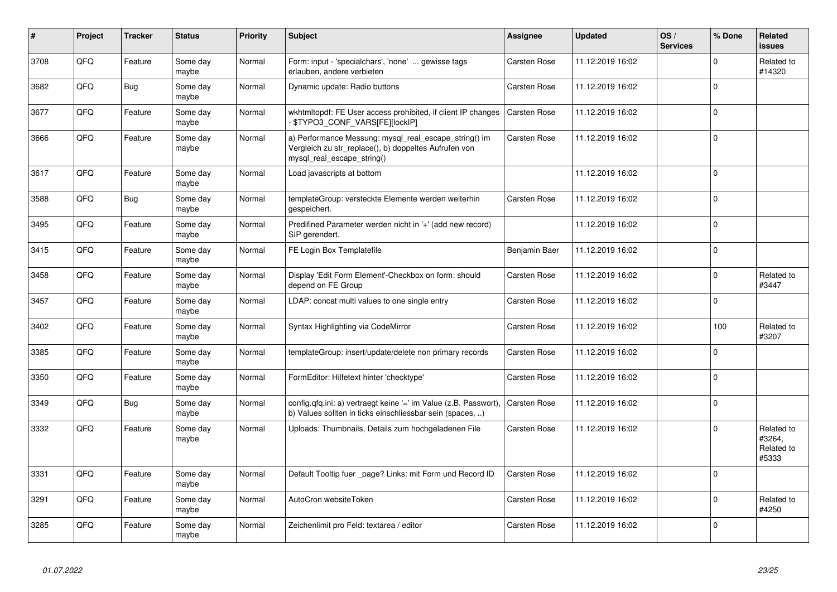| $\vert$ # | Project | <b>Tracker</b> | <b>Status</b>     | <b>Priority</b> | <b>Subject</b>                                                                                                                               | Assignee            | <b>Updated</b>   | OS/<br><b>Services</b> | % Done      | Related<br><b>issues</b>                    |
|-----------|---------|----------------|-------------------|-----------------|----------------------------------------------------------------------------------------------------------------------------------------------|---------------------|------------------|------------------------|-------------|---------------------------------------------|
| 3708      | QFQ     | Feature        | Some day<br>maybe | Normal          | Form: input - 'specialchars', 'none'  gewisse tags<br>erlauben, andere verbieten                                                             | Carsten Rose        | 11.12.2019 16:02 |                        | $\Omega$    | Related to<br>#14320                        |
| 3682      | QFQ     | Bug            | Some day<br>maybe | Normal          | Dynamic update: Radio buttons                                                                                                                | Carsten Rose        | 11.12.2019 16:02 |                        | $\Omega$    |                                             |
| 3677      | QFQ     | Feature        | Some day<br>maybe | Normal          | wkhtmltopdf: FE User access prohibited, if client IP changes<br>- \$TYPO3_CONF_VARS[FE][lockIP]                                              | <b>Carsten Rose</b> | 11.12.2019 16:02 |                        | $\Omega$    |                                             |
| 3666      | QFQ     | Feature        | Some day<br>maybe | Normal          | a) Performance Messung: mysql_real_escape_string() im<br>Vergleich zu str_replace(), b) doppeltes Aufrufen von<br>mysql real escape string() | Carsten Rose        | 11.12.2019 16:02 |                        | $\Omega$    |                                             |
| 3617      | QFQ     | Feature        | Some day<br>maybe | Normal          | Load javascripts at bottom                                                                                                                   |                     | 11.12.2019 16:02 |                        | $\Omega$    |                                             |
| 3588      | QFQ     | <b>Bug</b>     | Some day<br>maybe | Normal          | templateGroup: versteckte Elemente werden weiterhin<br>gespeichert.                                                                          | Carsten Rose        | 11.12.2019 16:02 |                        | $\Omega$    |                                             |
| 3495      | QFQ     | Feature        | Some day<br>maybe | Normal          | Predifined Parameter werden nicht in '+' (add new record)<br>SIP gerendert.                                                                  |                     | 11.12.2019 16:02 |                        | $\Omega$    |                                             |
| 3415      | QFQ     | Feature        | Some day<br>maybe | Normal          | FE Login Box Templatefile                                                                                                                    | Benjamin Baer       | 11.12.2019 16:02 |                        | 0           |                                             |
| 3458      | QFQ     | Feature        | Some day<br>maybe | Normal          | Display 'Edit Form Element'-Checkbox on form: should<br>depend on FE Group                                                                   | Carsten Rose        | 11.12.2019 16:02 |                        | $\Omega$    | Related to<br>#3447                         |
| 3457      | QFQ     | Feature        | Some day<br>maybe | Normal          | LDAP: concat multi values to one single entry                                                                                                | Carsten Rose        | 11.12.2019 16:02 |                        | $\mathbf 0$ |                                             |
| 3402      | QFQ     | Feature        | Some day<br>maybe | Normal          | Syntax Highlighting via CodeMirror                                                                                                           | Carsten Rose        | 11.12.2019 16:02 |                        | 100         | Related to<br>#3207                         |
| 3385      | QFQ     | Feature        | Some day<br>maybe | Normal          | templateGroup: insert/update/delete non primary records                                                                                      | Carsten Rose        | 11.12.2019 16:02 |                        | $\Omega$    |                                             |
| 3350      | QFQ     | Feature        | Some day<br>maybe | Normal          | FormEditor: Hilfetext hinter 'checktype'                                                                                                     | Carsten Rose        | 11.12.2019 16:02 |                        | $\Omega$    |                                             |
| 3349      | QFQ     | Bug            | Some day<br>maybe | Normal          | config.qfq.ini: a) vertraegt keine '=' im Value (z.B. Passwort),<br>b) Values sollten in ticks einschliessbar sein (spaces, )                | Carsten Rose        | 11.12.2019 16:02 |                        | $\Omega$    |                                             |
| 3332      | QFQ     | Feature        | Some day<br>maybe | Normal          | Uploads: Thumbnails, Details zum hochgeladenen File                                                                                          | Carsten Rose        | 11.12.2019 16:02 |                        | $\Omega$    | Related to<br>#3264,<br>Related to<br>#5333 |
| 3331      | QFQ     | Feature        | Some day<br>maybe | Normal          | Default Tooltip fuer _page? Links: mit Form und Record ID                                                                                    | Carsten Rose        | 11.12.2019 16:02 |                        | $\Omega$    |                                             |
| 3291      | QFQ     | Feature        | Some day<br>maybe | Normal          | AutoCron websiteToken                                                                                                                        | Carsten Rose        | 11.12.2019 16:02 |                        | $\Omega$    | Related to<br>#4250                         |
| 3285      | QFQ     | Feature        | Some day<br>maybe | Normal          | Zeichenlimit pro Feld: textarea / editor                                                                                                     | Carsten Rose        | 11.12.2019 16:02 |                        | $\Omega$    |                                             |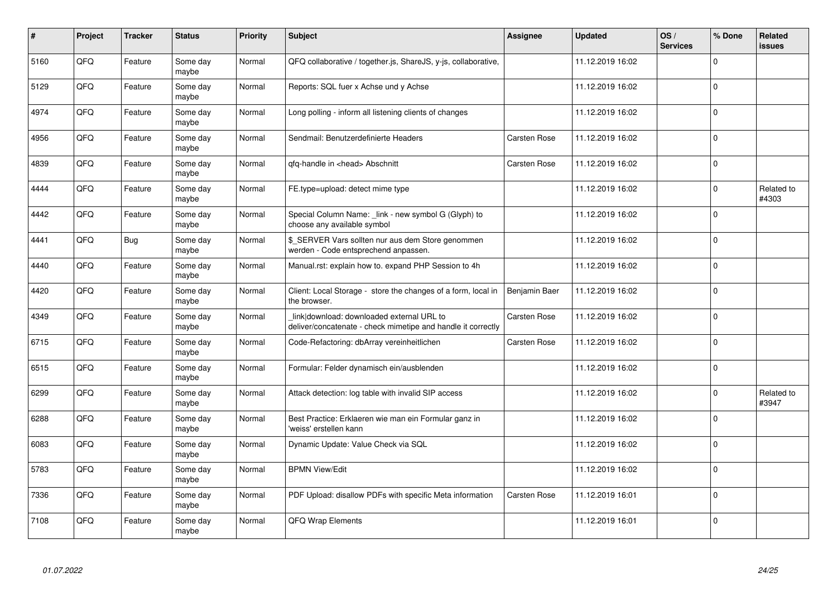| #    | Project | <b>Tracker</b> | <b>Status</b>     | <b>Priority</b> | <b>Subject</b>                                                                                            | <b>Assignee</b>     | <b>Updated</b>   | OS/<br><b>Services</b> | % Done       | <b>Related</b><br><b>issues</b> |
|------|---------|----------------|-------------------|-----------------|-----------------------------------------------------------------------------------------------------------|---------------------|------------------|------------------------|--------------|---------------------------------|
| 5160 | QFQ     | Feature        | Some day<br>maybe | Normal          | QFQ collaborative / together.js, ShareJS, y-js, collaborative,                                            |                     | 11.12.2019 16:02 |                        | $\Omega$     |                                 |
| 5129 | QFQ     | Feature        | Some day<br>maybe | Normal          | Reports: SQL fuer x Achse und y Achse                                                                     |                     | 11.12.2019 16:02 |                        | $\Omega$     |                                 |
| 4974 | QFQ     | Feature        | Some day<br>maybe | Normal          | Long polling - inform all listening clients of changes                                                    |                     | 11.12.2019 16:02 |                        | 0 I          |                                 |
| 4956 | QFQ     | Feature        | Some day<br>maybe | Normal          | Sendmail: Benutzerdefinierte Headers                                                                      | <b>Carsten Rose</b> | 11.12.2019 16:02 |                        | $\Omega$     |                                 |
| 4839 | QFQ     | Feature        | Some day<br>maybe | Normal          | qfq-handle in <head> Abschnitt</head>                                                                     | Carsten Rose        | 11.12.2019 16:02 |                        | l 0          |                                 |
| 4444 | QFQ     | Feature        | Some day<br>maybe | Normal          | FE.type=upload: detect mime type                                                                          |                     | 11.12.2019 16:02 |                        | $\Omega$     | Related to<br>#4303             |
| 4442 | QFQ     | Feature        | Some day<br>maybe | Normal          | Special Column Name: _link - new symbol G (Glyph) to<br>choose any available symbol                       |                     | 11.12.2019 16:02 |                        | $\Omega$     |                                 |
| 4441 | QFQ     | <b>Bug</b>     | Some day<br>maybe | Normal          | \$ SERVER Vars sollten nur aus dem Store genommen<br>werden - Code entsprechend anpassen.                 |                     | 11.12.2019 16:02 |                        | $\Omega$     |                                 |
| 4440 | QFQ     | Feature        | Some day<br>maybe | Normal          | Manual.rst: explain how to. expand PHP Session to 4h                                                      |                     | 11.12.2019 16:02 |                        | $\Omega$     |                                 |
| 4420 | QFQ     | Feature        | Some day<br>maybe | Normal          | Client: Local Storage - store the changes of a form, local in<br>the browser.                             | Benjamin Baer       | 11.12.2019 16:02 |                        | $\Omega$     |                                 |
| 4349 | QFQ     | Feature        | Some day<br>maybe | Normal          | link download: downloaded external URL to<br>deliver/concatenate - check mimetipe and handle it correctly | Carsten Rose        | 11.12.2019 16:02 |                        | $\mathbf 0$  |                                 |
| 6715 | QFQ     | Feature        | Some day<br>maybe | Normal          | Code-Refactoring: dbArray vereinheitlichen                                                                | Carsten Rose        | 11.12.2019 16:02 |                        | $\mathbf 0$  |                                 |
| 6515 | QFQ     | Feature        | Some day<br>maybe | Normal          | Formular: Felder dynamisch ein/ausblenden                                                                 |                     | 11.12.2019 16:02 |                        | $\mathbf{0}$ |                                 |
| 6299 | QFQ     | Feature        | Some day<br>maybe | Normal          | Attack detection: log table with invalid SIP access                                                       |                     | 11.12.2019 16:02 |                        | $\mathbf 0$  | Related to<br>#3947             |
| 6288 | QFQ     | Feature        | Some day<br>maybe | Normal          | Best Practice: Erklaeren wie man ein Formular ganz in<br>'weiss' erstellen kann                           |                     | 11.12.2019 16:02 |                        | $\Omega$     |                                 |
| 6083 | QFQ     | Feature        | Some day<br>maybe | Normal          | Dynamic Update: Value Check via SQL                                                                       |                     | 11.12.2019 16:02 |                        | $\Omega$     |                                 |
| 5783 | QFQ     | Feature        | Some day<br>maybe | Normal          | <b>BPMN View/Edit</b>                                                                                     |                     | 11.12.2019 16:02 |                        | $\Omega$     |                                 |
| 7336 | QFQ     | Feature        | Some day<br>maybe | Normal          | PDF Upload: disallow PDFs with specific Meta information                                                  | Carsten Rose        | 11.12.2019 16:01 |                        | $\mathbf 0$  |                                 |
| 7108 | QFQ     | Feature        | Some day<br>maybe | Normal          | QFQ Wrap Elements                                                                                         |                     | 11.12.2019 16:01 |                        | $\Omega$     |                                 |